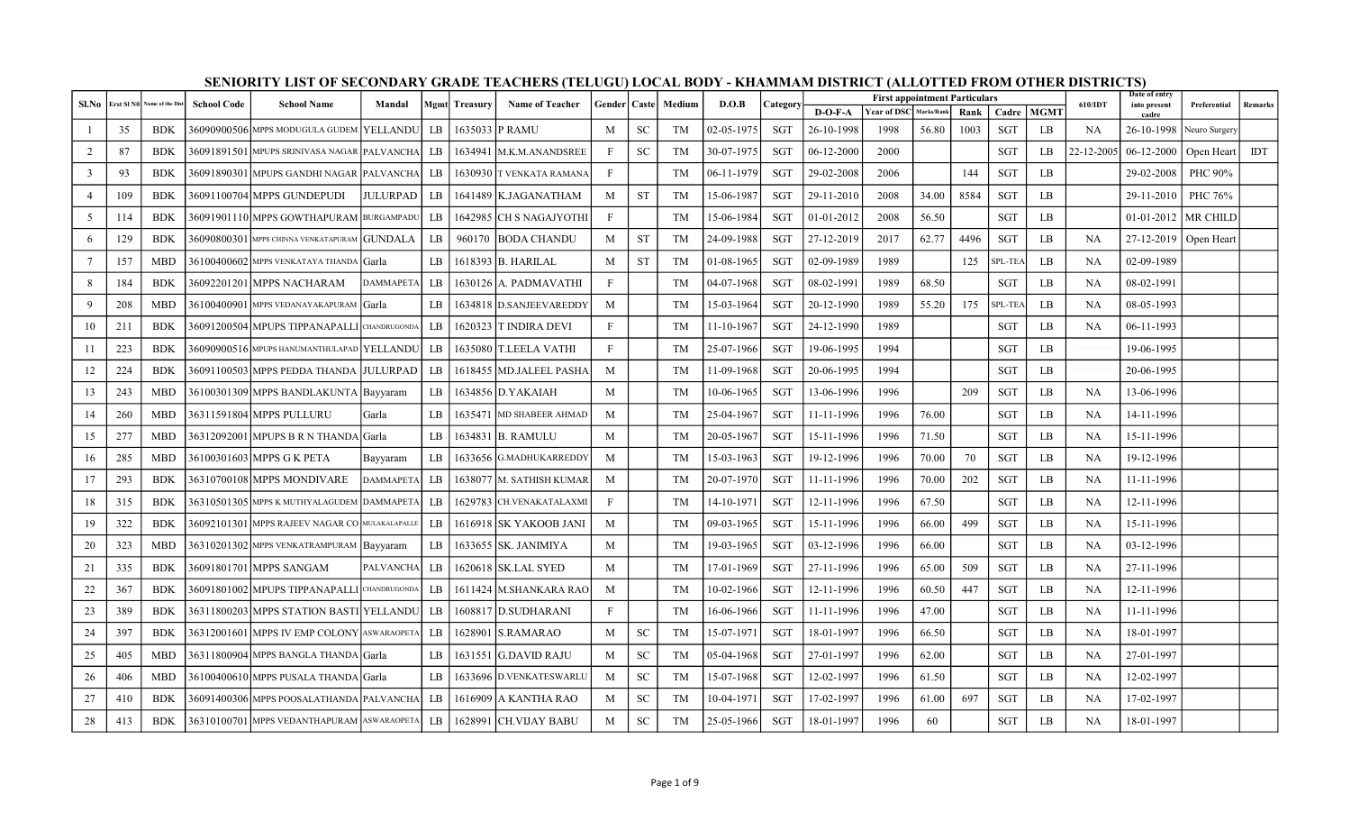| Sl.No           |     | Erst SI N0 Name of the Dist | <b>School Code</b> | <b>School Name</b>                              | Mandal           |             | <b>Mgmt</b> Treasury | <b>Name of Teacher</b>    | Gender   Caste            |           | Medium    | D.O.B            | Category   |            | <b>First appointment Particulars</b> |            |      |            |             | 610/IDT    | Date of entry<br>into present | Preferential          | <b>Remarks</b> |
|-----------------|-----|-----------------------------|--------------------|-------------------------------------------------|------------------|-------------|----------------------|---------------------------|---------------------------|-----------|-----------|------------------|------------|------------|--------------------------------------|------------|------|------------|-------------|------------|-------------------------------|-----------------------|----------------|
|                 |     |                             |                    |                                                 |                  |             |                      |                           |                           |           |           |                  |            | $D-O-F-A$  | <b>Year of DSC</b>                   | Marks/Rank | Rank | Cadre      | <b>MGMT</b> |            | cadre                         |                       |                |
|                 | 35  | <b>BDK</b>                  |                    | 36090900506 MPPS MODUGULA GUDEM YELLANDU        |                  | LB          |                      | 1635033 P RAMU            | M                         | <b>SC</b> | TM        | $02 - 05 - 1975$ | <b>SGT</b> | 26-10-1998 | 1998                                 | 56.80      | 1003 | <b>SGT</b> | LB          | NA         | 26-10-1998                    | Neuro Surgery         |                |
| 2               | 87  | <b>BDK</b>                  |                    | 36091891501 IMPUPS SRINIVASA NAGAR IPALVANCHA I |                  | $_{\rm LR}$ |                      | 1634941   M.K.M.ANANDSREE | F                         | <b>SC</b> | TM        | 30-07-1975       | <b>SGT</b> | 06-12-2000 | 2000                                 |            |      | <b>SGT</b> | LB          | 22-12-2005 | $06 - 12 - 2000$              | Open Heart            | <b>IDT</b>     |
| $\overline{3}$  | 93  | <b>BDK</b>                  |                    | 36091890301 MPUPS GANDHI NAGAR PALVANCHA LB     |                  |             |                      | 1630930 T VENKATA RAMANA  | $\mathbf{F}$              |           | TM        | $06-11-1979$     | <b>SGT</b> | 29-02-2008 | 2006                                 |            | 144  | <b>SGT</b> | LB          |            | 29-02-2008                    | PHC 90%               |                |
| $\overline{4}$  | 109 | <b>BDK</b>                  |                    | 36091100704 MPPS GUNDEPUDI                      | JULURPAD   LB    |             |                      | 1641489   K.JAGANATHAM    | M                         | ST        | TM        | 15-06-1987       | SGT        | 29-11-2010 | 2008                                 | 34.00      | 8584 | SGT        | LB          |            | 29-11-2010                    | PHC 76%               |                |
| 5 <sup>5</sup>  | 114 | <b>BDK</b>                  |                    | 36091901110 MPPS GOWTHAPURAM BURGAMPADU         |                  | LB          |                      | 1642985 CH S NAGAJYOTHI   | $\mathbf{F}$              |           | TM        | 15-06-1984       | <b>SGT</b> | 01-01-2012 | 2008                                 | 56.50      |      | <b>SGT</b> | LB          |            |                               | 01-01-2012   MR CHILD |                |
| 6               | 129 | <b>BDK</b>                  |                    | 36090800301 MPPS CHINNA VENKATAPURAM GUNDALA    |                  | LB          | 960170               | <b>BODA CHANDU</b>        | M                         | <b>ST</b> | TM        | 24-09-1988       | <b>SGT</b> | 27-12-2019 | 2017                                 | 62.77      | 4496 | <b>SGT</b> | LB          | <b>NA</b>  | 27-12-2019                    | Open Heart            |                |
| $7\overline{ }$ | 157 | <b>MBD</b>                  |                    | 36100400602 MPPS VENKATAYA THANDA Garla         |                  | LB.         |                      | 1618393 B. HARILAL        | M                         | <b>ST</b> | TM        | $01-08-1965$     | SGT        | 02-09-1989 | 1989                                 |            | 125  | SPL-TEA    | LB          | NA         | 02-09-1989                    |                       |                |
| 8               | 184 | <b>BDK</b>                  |                    | 36092201201 MPPS NACHARAM                       | <b>DAMMAPETA</b> | $_{\rm LB}$ |                      | 1630126 A. PADMAVATHI     | $\mathbf{F}$              |           | TM        | 04-07-1968       | <b>SGT</b> | 08-02-1991 | 1989                                 | 68.50      |      | <b>SGT</b> | LB          | <b>NA</b>  | 08-02-1991                    |                       |                |
| 9               | 208 | <b>MBD</b>                  |                    | 36100400901 MPPS VEDANAYAKAPURAM Garla          |                  | LB          |                      | 1634818 D.SANJEEVAREDDY   | M                         |           | TM        | 15-03-1964       | <b>SGT</b> | 20-12-1990 | 1989                                 | 55.20      | 175  | SPL-TEA    | LB          | NA         | 08-05-1993                    |                       |                |
| 10              | 211 | <b>BDK</b>                  |                    | 36091200504 MPUPS TIPPANAPALLI CHANDRUGONDA     |                  | $_{\rm LR}$ |                      | 1620323 T INDIRA DEVI     | $\boldsymbol{\mathrm{F}}$ |           | TM        | 11-10-1967       | <b>SGT</b> | 24-12-1990 | 1989                                 |            |      | SGT        | LB          | <b>NA</b>  | 06-11-1993                    |                       |                |
| 11              | 223 | <b>BDK</b>                  |                    | 36090900516 MPUPS HANUMANTHULAPAD YELLANDU      |                  | LB          |                      | 1635080 T.LEELA VATHI     | $\mathbf{F}$              |           | TM        | $25 - 07 - 1966$ | <b>SGT</b> | 19-06-1995 | 1994                                 |            |      | <b>SGT</b> | LB          |            | 19-06-1995                    |                       |                |
| 12              | 224 | <b>BDK</b>                  |                    | 36091100503 MPPS PEDDA THANDA JULURPAD          |                  | LB          |                      | 1618455   MD.JALEEL PASHA | M                         |           | TM        | 11-09-1968       | SGT        | 20-06-1995 | 1994                                 |            |      | SGT        | LB          |            | 20-06-1995                    |                       |                |
| 13              | 243 | <b>MBD</b>                  |                    | 36100301309 MPPS BANDLAKUNTA Bayyaram           |                  | LB          |                      | 1634856 D.YAKAIAH         | M                         |           | TM        | 10-06-1965       | <b>SGT</b> | 13-06-1996 | 1996                                 |            | 209  | <b>SGT</b> | LB          | NA         | 13-06-1996                    |                       |                |
| 14              | 260 | <b>MBD</b>                  |                    | 36311591804 MPPS PULLURU                        | Garla            | LB          |                      | 1635471 MD SHABEER AHMAD  | M                         |           | <b>TM</b> | 25-04-1967       | <b>SGT</b> | 11-11-1996 | 1996                                 | 76.00      |      | <b>SGT</b> | LB          | <b>NA</b>  | 14-11-1996                    |                       |                |
| 15              | 277 | <b>MBD</b>                  |                    | 36312092001 MPUPS B R N THANDA Garla            |                  | LB          |                      | 1634831 B. RAMULU         | M                         |           | TM        | 20-05-1967       | SGT        | 15-11-1996 | 1996                                 | 71.50      |      | <b>SGT</b> | LB          | NA         | 15-11-1996                    |                       |                |
| 16              | 285 | <b>MBD</b>                  |                    | 36100301603 MPPS G K PETA                       | Bayyaram         | LB          | 1633656              | G.MADHUKARREDDY           | M                         |           | TM        | 15-03-1963       | <b>SGT</b> | 19-12-1996 | 1996                                 | 70.00      | 70   | <b>SGT</b> | LB          | NA         | 19-12-1996                    |                       |                |
| 17              | 293 | BDK                         |                    | 36310700108 MPPS MONDIVARE                      | <b>DAMMAPETA</b> | $_{\rm LB}$ | 1638077              | M. SATHISH KUMAR          | M                         |           | TM        | 20-07-1970       | SGT        | 11-11-1996 | 1996                                 | 70.00      | 202  | <b>SGT</b> | LB          | NA         | 11-11-1996                    |                       |                |
| 18              | 315 | BDK                         |                    | 36310501305 MPPS K MUTHYALAGUDEM DAMMAPETA      |                  | LB          | 1629783              | CH.VENAKATALAXMI          | $\mathbf{F}$              |           | TM        | 14-10-1971       | SGT        | 12-11-1996 | 1996                                 | 67.50      |      | SGT        | LB          | <b>NA</b>  | 12-11-1996                    |                       |                |
| 19              | 322 | <b>BDK</b>                  |                    | 36092101301 MPPS RAJEEV NAGAR CO MULAKALAPALLI  |                  | LB          |                      | 1616918 SK YAKOOB JANI    | M                         |           | TM        | 09-03-1965       | <b>SGT</b> | 15-11-1996 | 1996                                 | 66.00      | 499  | <b>SGT</b> | LB          | NA         | 15-11-1996                    |                       |                |
| 20              | 323 | MBD                         |                    | 36310201302 MPPS VENKATRAMPURAM Bayyaram        |                  | LB          |                      | 1633655  SK. JANIMIYA     | M                         |           | TM        | 19-03-1965       | SGT        | 03-12-1996 | 1996                                 | 66.00      |      | SGT        | LB          | NA         | 03-12-1996                    |                       |                |
| 21              | 335 | <b>BDK</b>                  |                    | 36091801701 MPPS SANGAM                         | <b>PALVANCHA</b> | LB          |                      | 1620618 SK.LAL SYED       | M                         |           | TM        | 17-01-1969       | <b>SGT</b> | 27-11-1996 | 1996                                 | 65.00      | 509  | <b>SGT</b> | LB          | <b>NA</b>  | 27-11-1996                    |                       |                |
| 22              | 367 | <b>BDK</b>                  |                    | 36091801002 MPUPS TIPPANAPALLI CHANDRUGONDA     |                  | LB          |                      | 1611424 M.SHANKARA RAO    | M                         |           | TM        | 10-02-1966       | <b>SGT</b> | 12-11-1996 | 1996                                 | 60.50      | 447  | <b>SGT</b> | LB          | <b>NA</b>  | 12-11-1996                    |                       |                |
| 23              | 389 | BDK                         |                    | 36311800203 MPPS STATION BASTI YELLANDU         |                  | LB          |                      | 1608817 D.SUDHARANI       | F                         |           | TM        | 16-06-1966       | SGT        | 11-11-1996 | 1996                                 | 47.00      |      | SGT        | LB          | NA         | 11-11-1996                    |                       |                |
| 24              | 397 | <b>BDK</b>                  |                    | 36312001601 MPPS IV EMP COLONY ASWARAOPETA      |                  | LB.         | 1628901              | <b>S.RAMARAO</b>          | M                         | <b>SC</b> | TM        | 15-07-1971       | <b>SGT</b> | 18-01-1997 | 1996                                 | 66.50      |      | <b>SGT</b> | LB          | <b>NA</b>  | 18-01-1997                    |                       |                |
| 25              | 405 | <b>MBD</b>                  |                    | 36311800904 MPPS BANGLA THANDA Garla            |                  | LB          | 1631551              | <b>G.DAVID RAJU</b>       | M                         | <b>SC</b> | TM        | 05-04-1968       | SGT        | 27-01-1997 | 1996                                 | 62.00      |      | <b>SGT</b> | LB          | NA         | 27-01-1997                    |                       |                |
| 26              | 406 | MBD                         |                    | 36100400610 MPPS PUSALA THANDA Garla            |                  | LB          | 1633696              | D.VENKATESWARLU           | M                         | <b>SC</b> | TM        | 15-07-1968       | <b>SGT</b> | 12-02-1997 | 1996                                 | 61.50      |      | SGT        | LB          | NA         | 12-02-1997                    |                       |                |
| 27              | 410 | <b>BDK</b>                  |                    | 36091400306 MPPS POOSALATHANDA PALVANCHA        |                  | LB          |                      | 1616909 A KANTHA RAO      | M                         | <b>SC</b> | TM        | 10-04-1971       | <b>SGT</b> | 17-02-1997 | 1996                                 | 61.00      | 697  | <b>SGT</b> | LB          | <b>NA</b>  | 17-02-1997                    |                       |                |
| 28              | 413 | <b>BDK</b>                  |                    | 36310100701 MPPS VEDANTHAPURAM ASWARAOPETA      |                  | $_{\rm LB}$ |                      | 1628991 CH.VIJAY BABU     | M                         | <b>SC</b> | TM        | $25 - 05 - 1966$ | SGT        | 18-01-1997 | 1996                                 | 60         |      | <b>SGT</b> | LB          | NA         | 18-01-1997                    |                       |                |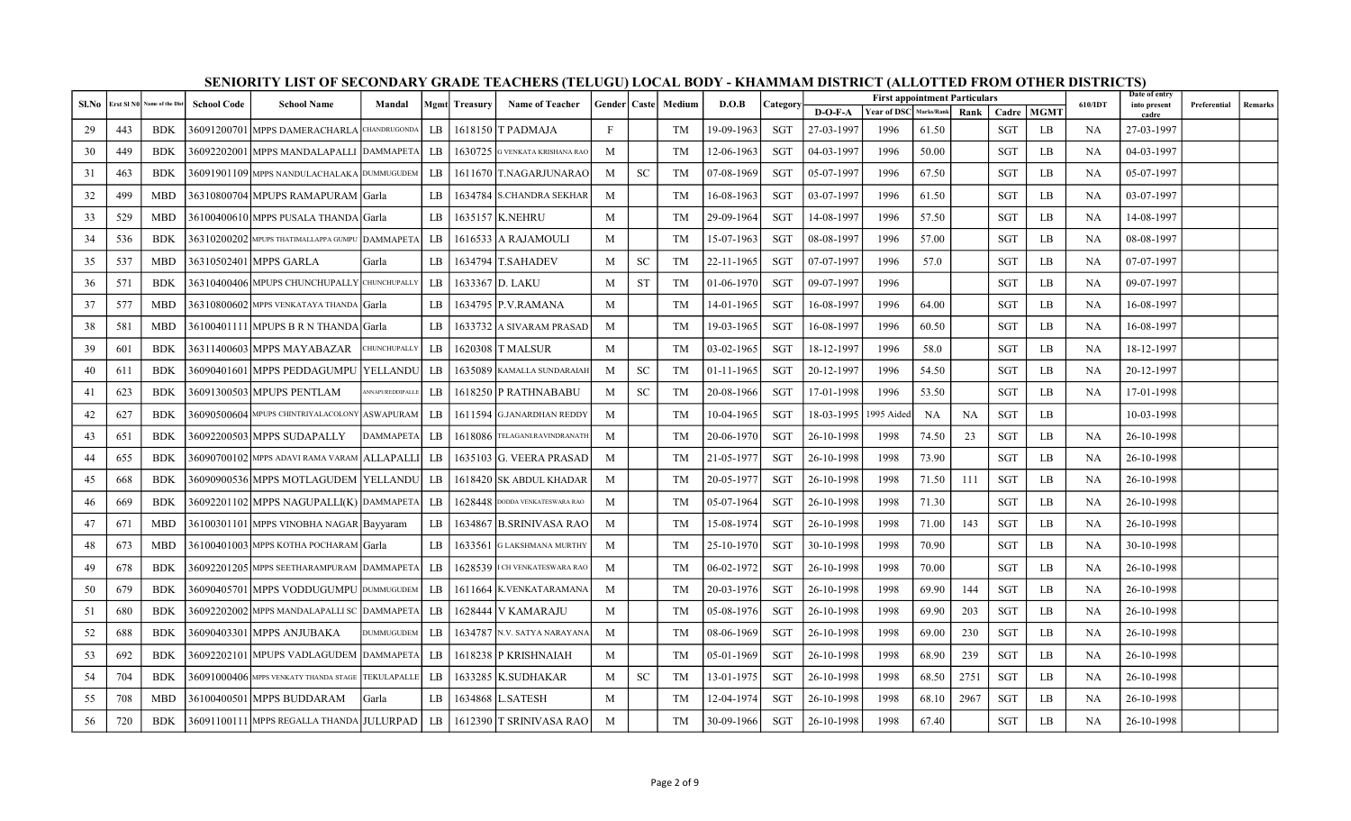| Sl.No | Erst SIN0 | Name of the Dist | <b>School Code</b> | <b>School Name</b>                                | Mandal            |    | <b>Mgmt</b> Treasury | <b>Name of Teacher</b>        | Gender   Caste |               | Medium | D.O.B            | Category   |            | <b>First appointment Particulars</b> |            |           |            |             | 610/IDT   | Date of entry<br>into present | Preferential | Remarks |
|-------|-----------|------------------|--------------------|---------------------------------------------------|-------------------|----|----------------------|-------------------------------|----------------|---------------|--------|------------------|------------|------------|--------------------------------------|------------|-----------|------------|-------------|-----------|-------------------------------|--------------|---------|
|       |           |                  |                    |                                                   |                   |    |                      |                               |                |               |        |                  |            | $D-O-F-A$  | <b>Year of DSC</b>                   | Marks/Rank | Rank l    | Cadre      | <b>MGMT</b> |           | cadre                         |              |         |
| 29    | 443       | <b>BDK</b>       |                    | 36091200701 MPPS DAMERACHARLA CHANDRUGONDA        |                   | LB |                      | 1618150   TPADMAJA            | $\mathbf{F}$   |               | TM     | 19-09-1963       | SGT        | 27-03-1997 | 1996                                 | 61.50      |           | <b>SGT</b> | LB          | <b>NA</b> | 27-03-1997                    |              |         |
| 30    | 449       | <b>BDK</b>       |                    | 36092202001  MPPS MANDALAPALLI  DAMMAPETA         |                   | LB | 1630725              | G VENKATA KRISHANA RAO        | M              |               | TM     | 12-06-1963       | <b>SGT</b> | 04-03-1997 | 1996                                 | 50.00      |           | <b>SGT</b> | LB          | NA        | 04-03-1997                    |              |         |
| 31    | 463       | <b>BDK</b>       |                    | 36091901109 MPPS NANDULACHALAKA DUMMUGUDEM        |                   | LB |                      | 1611670 T.NAGARJUNARAO        | M              | <b>SC</b>     | TM     | $07-08-1969$     | SGT        | 05-07-1997 | 1996                                 | 67.50      |           | <b>SGT</b> | LB          | <b>NA</b> | 05-07-1997                    |              |         |
| 32    | 499       | <b>MBD</b>       |                    | 36310800704 MPUPS RAMAPURAM Garla                 |                   | LB | 1634784              | <b>S.CHANDRA SEKHAR</b>       | M              |               | TM     | 16-08-1963       | SGT        | 03-07-1997 | 1996                                 | 61.50      |           | <b>SGT</b> | LB          | NA        | 03-07-1997                    |              |         |
| 33    | 529       | <b>MBD</b>       |                    | 36100400610 MPPS PUSALA THANDA Garla              |                   | LB |                      | 1635157 K.NEHRU               | M              |               | TM     | 29-09-1964       | SGT        | 14-08-1997 | 1996                                 | 57.50      |           | <b>SGT</b> | LB          | NA        | 14-08-1997                    |              |         |
| 34    | 536       | <b>BDK</b>       |                    | 36310200202 MPUPS THATIMALLAPPA GUMPU DAMMAPETA   |                   | LB |                      | 1616533 A RAJAMOULI           | M              |               | TM     | 15-07-1963       | SGT        | 08-08-1997 | 1996                                 | 57.00      |           | <b>SGT</b> | LB          | NA        | 08-08-1997                    |              |         |
| 35    | 537       | MBD              |                    | 36310502401 MPPS GARLA                            | Garla             | LB |                      | 1634794 T.SAHADEV             | M              | <b>SC</b>     | TM     | 22-11-1965       | SGT        | 07-07-1997 | 1996                                 | 57.0       |           | <b>SGT</b> | LB          | NA        | 07-07-1997                    |              |         |
| 36    | 571       | <b>BDK</b>       |                    | 36310400406 MPUPS CHUNCHUPALLY CHUNCHUPALLY       |                   | LB | 1633367              | D. LAKU                       | M              | <b>ST</b>     | TM     | 01-06-1970       | SGT        | 09-07-1997 | 1996                                 |            |           | <b>SGT</b> | LB          | <b>NA</b> | 09-07-1997                    |              |         |
| 37    | 577       | MBD              |                    | 36310800602 MPPS VENKATAYA THANDA Garla           |                   | LB |                      | 1634795 P.V.RAMANA            | M              |               | TM     | 14-01-1965       | SGT        | 16-08-1997 | 1996                                 | 64.00      |           | <b>SGT</b> | LB          | NA        | 16-08-1997                    |              |         |
| 38    | 581       | MBD              |                    | 36100401111 MPUPS B R N THANDA Garla              |                   | LB | 1633732              | A SIVARAM PRASAD              | M              |               | TM     | 19-03-1965       | SGT        | 16-08-1997 | 1996                                 | 60.50      |           | <b>SGT</b> | LB          | NA        | 16-08-1997                    |              |         |
| 39    | 601       | <b>BDK</b>       |                    | 36311400603 MPPS MAYABAZAR                        | CHUNCHUPALLY      | LB | 1620308              | IT MALSUR                     | M              |               | TM     | $03 - 02 - 1965$ | <b>SGT</b> | 18-12-1997 | 1996                                 | 58.0       |           | <b>SGT</b> | LB          | <b>NA</b> | 18-12-1997                    |              |         |
| 40    | 611       | <b>BDK</b>       |                    | 36090401601 MPPS PEDDAGUMPU YELLANDU              |                   | LB |                      | 1635089 KAMALLA SUNDARAIAH    | M              | <b>SC</b>     | TM     | $01-11-1965$     | SGT        | 20-12-1997 | 1996                                 | 54.50      |           | <b>SGT</b> | LB          | NA        | 20-12-1997                    |              |         |
| 41    | 623       | <b>BDK</b>       |                    | 36091300503 MPUPS PENTLAM                         | ANNAPUREDDIPALLE  | LB |                      | 1618250   PRATHNABABU         | M              | <sub>SC</sub> | TM     | $20 - 08 - 1966$ | SGT        | 17-01-1998 | 1996                                 | 53.50      |           | <b>SGT</b> | LB          | <b>NA</b> | 17-01-1998                    |              |         |
| 42    | 627       | <b>BDK</b>       |                    | 36090500604 MPUPS CHINTRIYALACOLONY ASWAPURAM     |                   | LB | 1611594              | <b>G.JANARDHAN REDDY</b>      | M              |               | TM     | 10-04-1965       | SGT        | 18-03-1995 | 1995 Aided                           | <b>NA</b>  | <b>NA</b> | SGT        | LB          |           | 10-03-1998                    |              |         |
| 43    | 651       | <b>BDK</b>       |                    | 36092200503 MPPS SUDAPALLY                        | DAMMAPETA         | LB | 1618086              | TELAGANI.RAVINDRANATH         | M              |               | TM     | 20-06-1970       | SGT        | 26-10-1998 | 1998                                 | 74.50      | 23        | SGT        | LB          | NA        | 26-10-1998                    |              |         |
| 44    | 655       | <b>BDK</b>       |                    | 36090700102 MPPS ADAVI RAMA VARAM ALLAPALLI       |                   | LB | 1635103              | <b>G. VEERA PRASAD</b>        | M              |               | TM     | 21-05-1977       | SGT        | 26-10-1998 | 1998                                 | 73.90      |           | <b>SGT</b> | LB          | NA        | 26-10-1998                    |              |         |
| 45    | 668       | <b>BDK</b>       |                    | 36090900536 MPPS MOTLAGUDEM  YELLANDU             |                   | LB | 1618420              | <b>SK ABDUL KHADAR</b>        | M              |               | TM     | 20-05-1977       | SGT        | 26-10-1998 | 1998                                 | 71.50      | 111       | SGT        | LB          | NA        | 26-10-1998                    |              |         |
| 46    | 669       | <b>BDK</b>       |                    | 36092201102 MPPS NAGUPALLI(K) DAMMAPETA           |                   | LB | 1628448              | DODDA VENKATESWARA RAO        | M              |               | TM     | 05-07-1964       | SGT        | 26-10-1998 | 1998                                 | 71.30      |           | <b>SGT</b> | LB          | <b>NA</b> | 26-10-1998                    |              |         |
| 47    | 671       | <b>MBD</b>       |                    | 36100301101 MPPS VINOBHA NAGAR Bayyaram           |                   | LB | 1634867              | <b>B.SRINIVASA RAO</b>        | M              |               | TM     | 15-08-1974       | SGT        | 26-10-1998 | 1998                                 | 71.00      | 143       | SGT        | LB          | NA        | 26-10-1998                    |              |         |
| 48    | 673       | MBD              |                    | 36100401003  MPPS KOTHA POCHARAM   Garla          |                   | LB | 1633561              | <b>G LAKSHMANA MURTHY</b>     | M              |               | TM     | 25-10-1970       | SGT        | 30-10-1998 | 1998                                 | 70.90      |           | <b>SGT</b> | LB          | NA        | 30-10-1998                    |              |         |
| 49    | 678       | <b>BDK</b>       |                    | 36092201205 MPPS SEETHARAMPURAM DAMMAPETA         |                   | LB |                      | 1628539 I CH VENKATESWARA RAO | M              |               | TM     | $06 - 02 - 1972$ | <b>SGT</b> | 26-10-1998 | 1998                                 | 70.00      |           | <b>SGT</b> | LB          | <b>NA</b> | 26-10-1998                    |              |         |
| 50    | 679       | <b>BDK</b>       |                    | 36090405701 MPPS VODDUGUMPU DUMMUGUDEM            |                   | LB | 1611664              | K.VENKATARAMANA               | M              |               | TM     | $20 - 03 - 1976$ | SGT        | 26-10-1998 | 1998                                 | 69.90      | 144       | SGT        | LB          | <b>NA</b> | 26-10-1998                    |              |         |
| 51    | 680       | <b>BDK</b>       |                    | 36092202002 MPPS MANDALAPALLI SC DAMMAPETA        |                   | LB | 1628444              | V KAMARAJU                    | M              |               | TM     | $05-08-1976$     | SGT        | 26-10-1998 | 1998                                 | 69.90      | 203       | SGT        | LB          | NA        | 26-10-1998                    |              |         |
| 52    | 688       | <b>BDK</b>       |                    | 36090403301 MPPS ANJUBAKA                         | <b>DUMMUGUDEM</b> | LB | 1634787              | N.V. SATYA NARAYANA           | M              |               | TM     | 08-06-1969       | <b>SGT</b> | 26-10-1998 | 1998                                 | 69.00      | 230       | <b>SGT</b> | LB          | <b>NA</b> | 26-10-1998                    |              |         |
| 53    | 692       | <b>BDK</b>       |                    | 36092202101 MPUPS VADLAGUDEM DAMMAPETA            |                   | LB |                      | 1618238   P KRISHNAIAH        | M              |               | TM     | $05-01-1969$     | SGT        | 26-10-1998 | 1998                                 | 68.90      | 239       | <b>SGT</b> | LB          | NA        | 26-10-1998                    |              |         |
| 54    | 704       | <b>BDK</b>       |                    | 36091000406 MPPS VENKATY THANDA STAGE TEKULAPALLE |                   | LB | 1633285              | K.SUDHAKAR                    | M              | <b>SC</b>     | TM     | 13-01-1975       | <b>SGT</b> | 26-10-1998 | 1998                                 | 68.50      | 2751      | <b>SGT</b> | LB          | <b>NA</b> | 26-10-1998                    |              |         |
| 55    | 708       | MBD              |                    | 36100400501 MPPS BUDDARAM                         | Garla             | LB |                      | 1634868 L.SATESH              | M              |               | TM     | 12-04-1974       | <b>SGT</b> | 26-10-1998 | 1998                                 | 68.10      | 2967      | <b>SGT</b> | LB          | NA        | 26-10-1998                    |              |         |
| 56    | 720       | <b>BDK</b>       |                    | 36091100111 MPPS REGALLA THANDA JULURPAD          |                   | LB |                      | 1612390  T SRINIVASA RAO      | M              |               | TM     | $30 - 09 - 1966$ | SGT        | 26-10-1998 | 1998                                 | 67.40      |           | SGT        | LB          | NA        | 26-10-1998                    |              |         |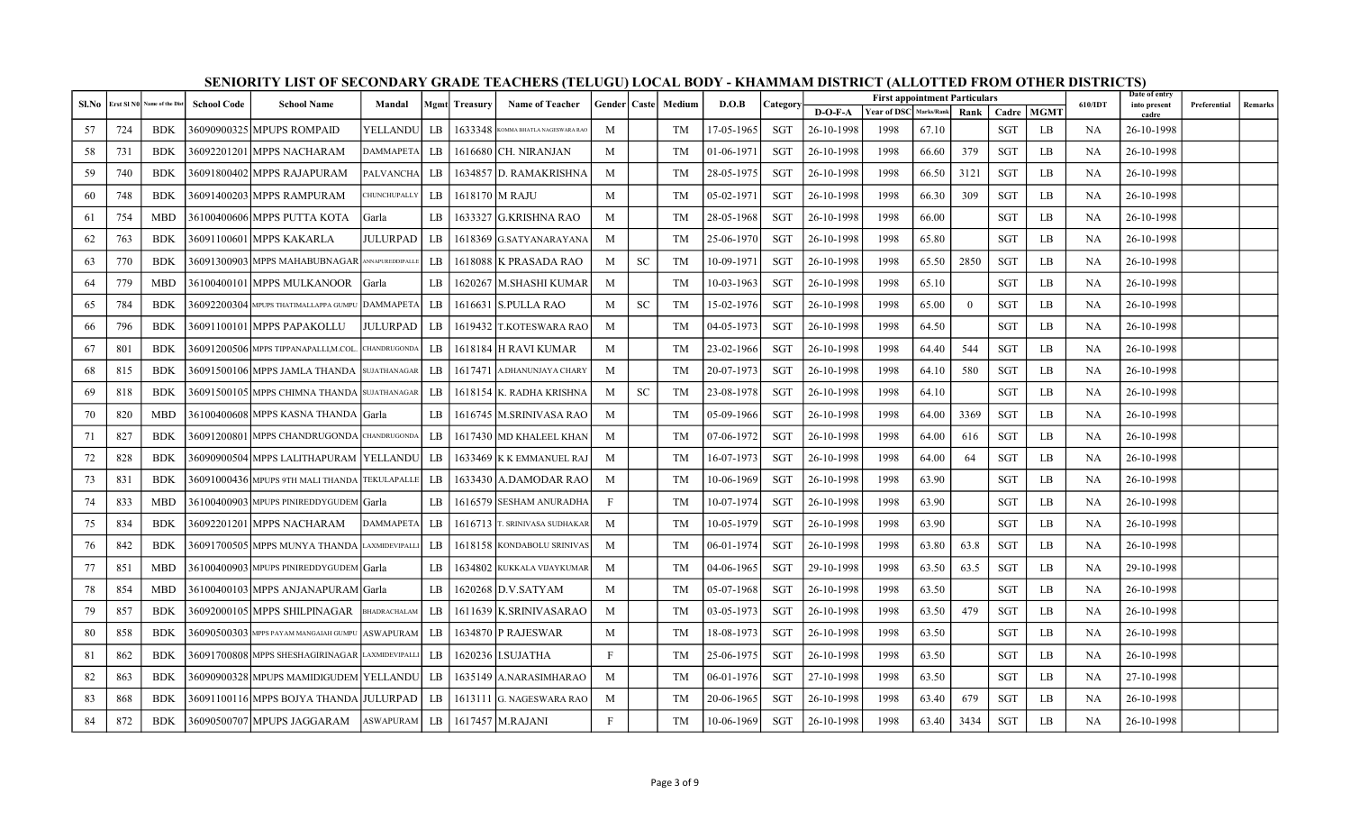| Sl.No |     | Erst SI NO Name of the Dist | <b>School Code</b> | <b>School Name</b>                                          | Mandal             |               | <b>Mgmt</b> Treasury | <b>Name of Teacher</b>        |              |           | Gender   Caste   Medium | D.O.B        | Category   |            | <b>First appointment Particulars</b> |            |          |            |             | 610/IDT   | Date of entry<br>into present | Preferential | Remarks |
|-------|-----|-----------------------------|--------------------|-------------------------------------------------------------|--------------------|---------------|----------------------|-------------------------------|--------------|-----------|-------------------------|--------------|------------|------------|--------------------------------------|------------|----------|------------|-------------|-----------|-------------------------------|--------------|---------|
|       |     |                             |                    |                                                             |                    |               |                      |                               |              |           |                         |              |            | $D-O-F-A$  | <b>Year of DSC</b>                   | Marks/Rank | Rank l   | Cadre      | <b>MGMT</b> |           | cadre                         |              |         |
| 57    | 724 | <b>BDK</b>                  |                    | 36090900325 MPUPS ROMPAID                                   | YELLANDU           | LB            | 1633348              | KOMMA BHATLA NAGESWARA RAO    | M            |           | TM                      | 17-05-1965   | SGT        | 26-10-1998 | 1998                                 | 67.10      |          | <b>SGT</b> | LB          | NA        | 26-10-1998                    |              |         |
| 58    | 731 | <b>BDK</b>                  |                    | 36092201201 MPPS NACHARAM                                   | <b>DAMMAPETA</b>   | LB.           | 1616680              | ICH. NIRANJAN                 | M            |           | TM                      | 01-06-1971   | <b>SGT</b> | 26-10-1998 | 1998                                 | 66.60      | 379      | <b>SGT</b> | LB          | <b>NA</b> | 26-10-1998                    |              |         |
| 59    | 740 | <b>BDK</b>                  |                    | 36091800402 MPPS RAJAPURAM                                  | <b>PALVANCHA</b>   | LB            |                      | 1634857 D. RAMAKRISHNA        | M            |           | TM                      | 28-05-1975   | SGT        | 26-10-1998 | 1998                                 | 66.50      | 3121     | SGT        | LB          | <b>NA</b> | 26-10-1998                    |              |         |
| 60    | 748 | <b>BDK</b>                  |                    | 36091400203 MPPS RAMPURAM                                   | <b>HUNCHUPALLY</b> | LB            |                      | 1618170 M RAJU                | M            |           | TM                      | 05-02-1971   | SGT        | 26-10-1998 | 1998                                 | 66.30      | 309      | SGT        | LB          | <b>NA</b> | 26-10-1998                    |              |         |
| 61    | 754 | <b>MBD</b>                  |                    | 36100400606 MPPS PUTTA KOTA                                 | <b>Carla</b>       | LB            |                      | 1633327 G.KRISHNA RAO         | M            |           | TM                      | 28-05-1968   | SGT        | 26-10-1998 | 1998                                 | 66.00      |          | <b>SGT</b> | LB          | <b>NA</b> | 26-10-1998                    |              |         |
| 62    | 763 | <b>BDK</b>                  |                    | 36091100601 MPPS KAKARLA                                    | <b>JULURPAD</b>    | LB            |                      | 1618369 G.SATYANARAYANA       | M            |           | TM                      | 25-06-1970   | SGT        | 26-10-1998 | 1998                                 | 65.80      |          | <b>SGT</b> | LB          | NA        | 26-10-1998                    |              |         |
| 63    | 770 | <b>BDK</b>                  |                    | 36091300903 MPPS MAHABUBNAGAR ANNAPUREDDIPALLE              |                    | LB            |                      | 1618088 K PRASADA RAO         | M            | <b>SC</b> | TM                      | 10-09-1971   | SGT        | 26-10-1998 | 1998                                 | 65.50      | 2850     | <b>SGT</b> | LB          | <b>NA</b> | 26-10-1998                    |              |         |
| 64    | 779 | MBD                         |                    | 36100400101 MPPS MULKANOOR                                  | <b>S</b> arla      | LB            | 1620267              | M.SHASHI KUMAR                | M            |           | TM                      | 10-03-1963   | SGT        | 26-10-1998 | 1998                                 | 65.10      |          | <b>SGT</b> | LB          | NA        | 26-10-1998                    |              |         |
| 65    | 784 | <b>BDK</b>                  |                    | $36092200304$ Mpups thatimallappa gumpu DAMMAPETA $\mid$ LB |                    |               |                      | 1616631 S.PULLA RAO           | M            | <b>SC</b> | <b>TM</b>               | 15-02-1976   | SGT        | 26-10-1998 | 1998                                 | 65.00      | $\theta$ | <b>SGT</b> | LB          | <b>NA</b> | 26-10-1998                    |              |         |
| 66    | 796 | <b>BDK</b>                  |                    | 36091100101 MPPS PAPAKOLLU                                  | <b>JULURPAD</b>    | LB            |                      | 1619432 T.KOTESWARA RAO       | M            |           | <b>TM</b>               | 04-05-1973   | SGT        | 26-10-1998 | 1998                                 | 64.50      |          | <b>SGT</b> | LB          | <b>NA</b> | 26-10-1998                    |              |         |
| 67    | 801 | <b>BDK</b>                  |                    | 36091200506 MPPS TIPPANAPALLI,M.COL. CHANDRUGONDA           |                    | LB            |                      | 1618184 H RAVI KUMAR          | M            |           | TM                      | 23-02-1966   | SGT        | 26-10-1998 | 1998                                 | 64.40      | 544      | SGT        | LB          | NA        | 26-10-1998                    |              |         |
| 68    | 815 | <b>BDK</b>                  |                    | 36091500106 MPPS JAMLA THANDA SUJATHANAGAR                  |                    | LB            | 1617471              | A.DHANUNJAYA CHARY            | M            |           | TM                      | 20-07-1973   | SGT        | 26-10-1998 | 1998                                 | 64.10      | 580      | <b>SGT</b> | LB          | <b>NA</b> | 26-10-1998                    |              |         |
| 69    | 818 | <b>BDK</b>                  |                    | 36091500105 MPPS CHIMNA THANDA SUJATHANAGAR                 |                    | LB            |                      | 1618154 K. RADHA KRISHNA      | M            | <b>SC</b> | TM                      | 23-08-1978   | SGT        | 26-10-1998 | 1998                                 | 64.10      |          | <b>SGT</b> | LB          | NA        | 26-10-1998                    |              |         |
| 70    | 820 | <b>MBD</b>                  |                    | 36100400608 MPPS KASNA THANDA Garla                         |                    | LB            |                      | 1616745  M.SRINIVASA RAO      | M            |           | TM                      | 05-09-1966   | SGT        | 26-10-1998 | 1998                                 | 64.00      | 3369     | <b>SGT</b> | LB          | <b>NA</b> | 26-10-1998                    |              |         |
| 71    | 827 | <b>BDK</b>                  |                    | 36091200801 MPPS CHANDRUGONDA CHANDRUGONDA                  |                    | LB            |                      | 1617430 MD KHALEEL KHAN       | M            |           | TM                      | 07-06-1972   | SGT        | 26-10-1998 | 1998                                 | 64.00      | 616      | <b>SGT</b> | LB          | <b>NA</b> | 26-10-1998                    |              |         |
| 72    | 828 | <b>BDK</b>                  |                    | 36090900504 MPPS LALITHAPURAM  YELLANDU                     |                    | LB            |                      | 1633469 K K EMMANUEL RAJ      | M            |           | TM                      | 16-07-1973   | SGT        | 26-10-1998 | 1998                                 | 64.00      | 64       | <b>SGT</b> | LB          | NA        | 26-10-1998                    |              |         |
| 73    | 831 | <b>BDK</b>                  |                    | 36091000436 MPUPS 9TH MALI THANDA TEKULAPALLI               |                    | LB            |                      | 1633430 A.DAMODAR RAO         | M            |           | TM                      | 10-06-1969   | SGT        | 26-10-1998 | 1998                                 | 63.90      |          | SGT        | LB          | NA        | 26-10-1998                    |              |         |
| 74    | 833 | <b>MBD</b>                  |                    | 36100400903  MPUPS PINIREDDYGUDEM   Garla                   |                    | LB            |                      | 1616579 SESHAM ANURADHA       | $\mathbf{F}$ |           | <b>TM</b>               | 10-07-1974   | SGT        | 26-10-1998 | 1998                                 | 63.90      |          | <b>SGT</b> | LB          | NA        | 26-10-1998                    |              |         |
| 75    | 834 | <b>BDK</b>                  |                    | 36092201201 MPPS NACHARAM                                   | <b>DAMMAPETA</b>   | $_{\rm LB}$   |                      | 1616713 T. SRINIVASA SUDHAKAR | M            |           | <b>TM</b>               | 10-05-1979   | <b>SGT</b> | 26-10-1998 | 1998                                 | 63.90      |          | <b>SGT</b> | LB          | <b>NA</b> | 26-10-1998                    |              |         |
| 76    | 842 | <b>BDK</b>                  |                    | 36091700505 MPPS MUNYA THANDA LAXMIDEVIPALLI                |                    | $L\mathbf{B}$ |                      | 1618158 KONDABOLU SRINIVAS    | M            |           | TM                      | 06-01-1974   | SGT        | 26-10-1998 | 1998                                 | 63.80      | 63.8     | SGT        | LB          | NA        | 26-10-1998                    |              |         |
| 77    | 851 | <b>MBD</b>                  |                    | 36100400903  MPUPS PINIREDDYGUDEM   Garla                   |                    | LB            |                      | 1634802 KUKKALA VIJAYKUMAR    | M            |           | TM                      | 04-06-1965   | SGT        | 29-10-1998 | 1998                                 | 63.50      | 63.5     | SGT        | LB          | NA        | 29-10-1998                    |              |         |
| 78    | 854 | <b>MBD</b>                  |                    | 36100400103 MPPS ANJANAPURAM Garla                          |                    | LB            |                      | 1620268 D.V.SATYAM            | M            |           | TM                      | $05-07-1968$ | SGT        | 26-10-1998 | 1998                                 | 63.50      |          | <b>SGT</b> | LB          | <b>NA</b> | 26-10-1998                    |              |         |
| 79    | 857 | <b>BDK</b>                  |                    | 36092000105 MPPS SHILPINAGAR                                | BHADRACHALAM       | LB            |                      | 1611639   K.SRINIVASARAO      | M            |           | TM                      | 03-05-1973   | SGT        | 26-10-1998 | 1998                                 | 63.50      | 479      | SGT        | LB          | NA        | 26-10-1998                    |              |         |
| 80    | 858 | <b>BDK</b>                  |                    | 36090500303 MPPS PAYAM MANGAIAH GUMPU ASWAPURAM             |                    | $L\mathbf{B}$ |                      | 1634870 P RAJESWAR            | M            |           | TM                      | 18-08-1973   | SGT        | 26-10-1998 | 1998                                 | 63.50      |          | <b>SGT</b> | LB          | <b>NA</b> | 26-10-1998                    |              |         |
| 81    | 862 | <b>BDK</b>                  |                    | 36091700808 MPPS SHESHAGIRINAGAR LAXMIDEVIPALLI             |                    | LB            |                      | 1620236   I.SUJATHA           | $\mathbf{F}$ |           | TM                      | 25-06-1975   | SGT        | 26-10-1998 | 1998                                 | 63.50      |          | SGT        | LB          | NA        | 26-10-1998                    |              |         |
| 82    | 863 | <b>BDK</b>                  |                    | 36090900328 MPUPS MAMIDIGUDEM YELLANDU                      |                    | LB            |                      | 1635149 A.NARASIMHARAO        | M            |           | TM                      | 06-01-1976   | SGT        | 27-10-1998 | 1998                                 | 63.50      |          | <b>SGT</b> | LB          | NA        | 27-10-1998                    |              |         |
| 83    | 868 | <b>BDK</b>                  |                    | 36091100116 MPPS BOJYA THANDA JULURPAD-                     |                    | LB            |                      | 1613111 G. NAGESWARA RAO      | M            |           | TM                      | 20-06-1965   | <b>SGT</b> | 26-10-1998 | 1998                                 | 63.40      | 679      | <b>SGT</b> | LB          | <b>NA</b> | 26-10-1998                    |              |         |
| 84    | 872 | <b>BDK</b>                  |                    | 36090500707 MPUPS JAGGARAM   ASWAPURAM   LB                 |                    |               |                      | 1617457 M.RAJANI              | $\mathbf{F}$ |           | TM                      | 10-06-1969   | SGT        | 26-10-1998 | 1998                                 | 63.40      | 3434     | SGT        | LB          | NA        | 26-10-1998                    |              |         |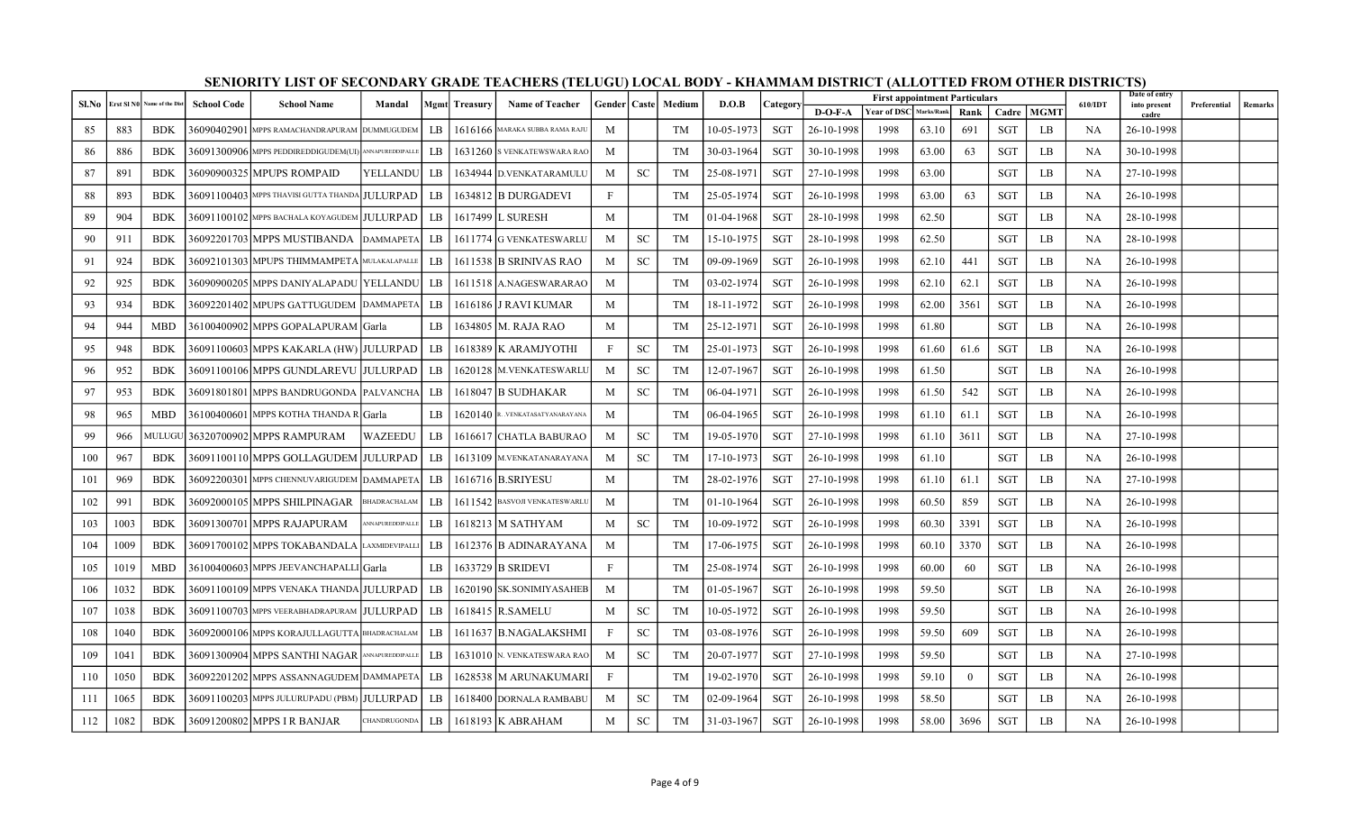| Sl.No |      | Erst SI NO Name of the Dist | <b>School Code</b> | <b>School Name</b>                                    | Mandal                 |               | <b>Mgmt</b> Treasury | <b>Name of Teacher</b>            |              |               | Gender   Caste   Medium | D.O.B            | Category   |            | <b>First appointment Particulars</b> |            |          |            |             | 610/IDT   | Date of entry<br>into present | Preferential | Remarks |
|-------|------|-----------------------------|--------------------|-------------------------------------------------------|------------------------|---------------|----------------------|-----------------------------------|--------------|---------------|-------------------------|------------------|------------|------------|--------------------------------------|------------|----------|------------|-------------|-----------|-------------------------------|--------------|---------|
|       |      |                             |                    |                                                       |                        |               |                      |                                   |              |               |                         |                  |            | $D-O-F-A$  | <b>Year of DSC</b>                   | Marks/Rank | Rank     | Cadre      | <b>MGMT</b> |           | cadre                         |              |         |
| 85    | 883  | <b>BDK</b>                  |                    | 36090402901 MPPS RAMACHANDRAPURAM DUMMUGUDEM          |                        | LB            |                      | 1616166 MARAKA SUBBA RAMA RAJU    | M            |               | TM                      | 10-05-1973       | SGT        | 26-10-1998 | 1998                                 | 63.10      | 691      | SGT        | LB          | NA        | 26-10-1998                    |              |         |
| 86    | 886  | <b>BDK</b>                  |                    | 36091300906 MPPS PEDDIREDDIGUDEM(UI) ANNAPUREDDIPALLE |                        | LB            |                      | 1631260 IS VENKATEWSWARA RAO      | M            |               | <b>TM</b>               | 30-03-1964       | <b>SGT</b> | 30-10-1998 | 1998                                 | 63.00      | 63       | <b>SGT</b> | LB          | <b>NA</b> | 30-10-1998                    |              |         |
| 87    | 891  | <b>BDK</b>                  |                    | 36090900325 MPUPS ROMPAID                             | <b>YELLANDU</b>        | LB.           |                      | 1634944 D.VENKATARAMULU           | M            | <b>SC</b>     | TM                      | 25-08-1971       | SGT        | 27-10-1998 | 1998                                 | 63.00      |          | <b>SGT</b> | LB          | <b>NA</b> | 27-10-1998                    |              |         |
| 88    | 893  | <b>BDK</b>                  |                    | 36091100403  mpps thavisi gutta thanda JULURPAD       |                        | LB            |                      | 1634812 B DURGADEVI               | $\mathbf{F}$ |               | TM                      | 25-05-1974       | SGT        | 26-10-1998 | 1998                                 | 63.00      | 63       | <b>SGT</b> | LB          | <b>NA</b> | 26-10-1998                    |              |         |
| 89    | 904  | <b>BDK</b>                  |                    | 36091100102 MPPS BACHALA KOYAGUDEM JULURPAD           |                        | LB            |                      | 1617499 L SURESH                  | M            |               | TM                      | $01 - 04 - 1968$ | SGT        | 28-10-1998 | 1998                                 | 62.50      |          | <b>SGT</b> | LB          | <b>NA</b> | 28-10-1998                    |              |         |
| 90    | 911  | <b>BDK</b>                  |                    | 36092201703 MPPS MUSTIBANDA                           | <b>DAMMAPETA</b>       | LB            |                      | 1611774 G VENKATESWARLU           | M            | <b>SC</b>     | TM                      | 15-10-1975       | SGT        | 28-10-1998 | 1998                                 | 62.50      |          | SGT        | LB          | NA        | 28-10-1998                    |              |         |
| 91    | 924  | <b>BDK</b>                  |                    | 36092101303 MPUPS THIMMAMPETA MULAKALAPALLE           |                        | LB.           |                      | 1611538 B SRINIVAS RAO            | M            | <b>SC</b>     | TM                      | 09-09-1969       | SGT        | 26-10-1998 | 1998                                 | 62.10      | 441      | SGT        | LB          | NA        | 26-10-1998                    |              |         |
| 92    | 925  | <b>BDK</b>                  |                    | 36090900205 MPPS DANIYALAPADU  YELLANDU               |                        | LB            |                      | 1611518 A.NAGESWARARAO            | M            |               | TM                      | 03-02-1974       | SGT        | 26-10-1998 | 1998                                 | 62.10      | 62.1     | SGT        | LB          | NA        | 26-10-1998                    |              |         |
| 93    | 934  | <b>BDK</b>                  |                    | 36092201402 MPUPS GATTUGUDEM DAMMAPETA LB             |                        |               |                      | 1616186 J RAVI KUMAR              | M            |               | TM                      | 18-11-1972       | SGT        | 26-10-1998 | 1998                                 | 62.00      | 3561     | <b>SGT</b> | LB          | <b>NA</b> | 26-10-1998                    |              |         |
| 94    | 944  | <b>MBD</b>                  |                    | 36100400902 MPPS GOPALAPURAM Garla                    |                        | LB            |                      | 1634805   M. RAJA RAO             | M            |               | TM                      | 25-12-1971       | SGT        | 26-10-1998 | 1998                                 | 61.80      |          | SGT        | LB          | <b>NA</b> | 26-10-1998                    |              |         |
| 95    | 948  | <b>BDK</b>                  |                    | 36091100603 MPPS KAKARLA (HW) JULURPAD                |                        | LB            |                      | 1618389 K ARAMJYOTHI              | $\mathbf{F}$ | <b>SC</b>     | TM                      | 25-01-1973       | SGT        | 26-10-1998 | 1998                                 | 61.60      | 61.6     | SGT        | LB          | <b>NA</b> | 26-10-1998                    |              |         |
| 96    | 952  | <b>BDK</b>                  |                    | 36091100106 MPPS GUNDLAREVU  JULURPAD                 |                        | LB            |                      | 1620128 M.VENKATESWARLU           | M            | <b>SC</b>     | TM                      | 12-07-1967       | SGT        | 26-10-1998 | 1998                                 | 61.50      |          | SGT        | LB          | NA        | 26-10-1998                    |              |         |
| 97    | 953  | <b>BDK</b>                  |                    | 36091801801   MPPS BANDRUGONDA   PALVANCHA   LB       |                        |               |                      | 1618047 B SUDHAKAR                | M            | <b>SC</b>     | TM                      | 06-04-1971       | SGT        | 26-10-1998 | 1998                                 | 61.50      | 542      | <b>SGT</b> | LB          | <b>NA</b> | 26-10-1998                    |              |         |
| 98    | 965  | <b>MBD</b>                  |                    | 36100400601 MPPS KOTHA THANDA R Garla                 |                        | LB            |                      | $1620140$ R. VENKATASATYANARAYANA | M            |               | <b>TM</b>               | $06 - 04 - 1965$ | SGT        | 26-10-1998 | 1998                                 | 61.10      | 61.1     | SGT        | LB          | <b>NA</b> | 26-10-1998                    |              |         |
| 99    | 966  | MULUGU                      |                    | 36320700902 MPPS RAMPURAM                             | WAZEEDU                | LB            | 1616617              | <b>CHATLA BABURAO</b>             | M            | <b>SC</b>     | TM                      | 19-05-1970       | SGT        | 27-10-1998 | 1998                                 | 61.10      | 3611     | SGT        | LB          | NA        | 27-10-1998                    |              |         |
| 100   | 967  | <b>BDK</b>                  |                    | 36091100110 MPPS GOLLAGUDEM  JULURPAD                 |                        | LB            |                      | 1613109 M.VENKATANARAYANA         | M            | <b>SC</b>     | TM                      | 17-10-1973       | SGT        | 26-10-1998 | 1998                                 | 61.10      |          | <b>SGT</b> | LB          | <b>NA</b> | 26-10-1998                    |              |         |
| 101   | 969  | <b>BDK</b>                  |                    | 36092200301 MPPS CHENNUVARIGUDEM DAMMAPETA            |                        | LB            |                      | 1616716 B.SRIYESU                 | M            |               | TM                      | 28-02-1976       | SGT        | 27-10-1998 | 1998                                 | 61.10      | 61.1     | SGT        | LB          | NA        | 27-10-1998                    |              |         |
| 102   | 991  | <b>BDK</b>                  |                    | 36092000105 MPPS SHILPINAGAR                          | BHADRACHALAM           | LB            |                      | 1611542 BASVOJI VENKATESWARLU     | M            |               | <b>TM</b>               | $01-10-1964$     | <b>SGT</b> | 26-10-1998 | 1998                                 | 60.50      | 859      | <b>SGT</b> | LB          | <b>NA</b> | 26-10-1998                    |              |         |
| 103   | 1003 | <b>BDK</b>                  |                    | 36091300701 MPPS RAJAPURAM                            | <b>ANNAPUREDDIPALL</b> | LB.           |                      | 1618213 M SATHYAM                 | M            | <sub>SC</sub> | TM                      | 10-09-1972       | SGT        | 26-10-1998 | 1998                                 | 60.30      | 3391     | SGT        | LB          | <b>NA</b> | 26-10-1998                    |              |         |
| 104   | 1009 | <b>BDK</b>                  |                    | 36091700102 MPPS TOKABANDALA LAXMIDEVIPALLI           |                        | $L\mathbf{B}$ |                      | 1612376 B ADINARAYANA             | M            |               | TM                      | 17-06-1975       | SGT        | 26-10-1998 | 1998                                 | 60.10      | 3370     | <b>SGT</b> | LB          | <b>NA</b> | 26-10-1998                    |              |         |
| 105   | 1019 | MBD                         |                    | 36100400603 MPPS JEEVANCHAPALLI Garla                 |                        | LB            |                      | 1633729 B SRIDEVI                 | $\mathbf{F}$ |               | TM                      | 25-08-1974       | SGT        | 26-10-1998 | 1998                                 | 60.00      | 60       | SGT        | LB          | NA        | 26-10-1998                    |              |         |
| 106   | 1032 | <b>BDK</b>                  |                    | 36091100109 MPPS VENAKA THANDA JULURPAD   LB          |                        |               |                      | 1620190 SK.SONIMIYASAHEB          | M            |               | TM                      | 01-05-1967       | SGT        | 26-10-1998 | 1998                                 | 59.50      |          | SGT        | LB          | NA        | 26-10-1998                    |              |         |
| 107   | 1038 | <b>BDK</b>                  |                    | 36091100703 MPPS VEERABHADRAPURAM JULURPAD LB         |                        |               |                      | 1618415 R.SAMELU                  | M            | <b>SC</b>     | TM                      | 10-05-1972       | SGT        | 26-10-1998 | 1998                                 | 59.50      |          | <b>SGT</b> | LB          | <b>NA</b> | 26-10-1998                    |              |         |
| 108   | 1040 | <b>BDK</b>                  |                    | 36092000106 MPPS KORAJULLAGUTTA BHADRACHALAM          |                        | LB.           |                      | 1611637 B.NAGALAKSHMI             | $\mathbf{F}$ | <b>SC</b>     | TM                      | $03 - 08 - 1976$ | SGT        | 26-10-1998 | 1998                                 | 59.50      | 609      | SGT        | LB          | NA        | 26-10-1998                    |              |         |
| 109   | 1041 | <b>BDK</b>                  |                    | 36091300904 MPPS SANTHI NAGAR Annapureddipalle        |                        | LB            |                      | 1631010 N. VENKATESWARA RAO       | M            | <b>SC</b>     | TM                      | 20-07-1977       | SGT        | 27-10-1998 | 1998                                 | 59.50      |          | SGT        | LB          | <b>NA</b> | 27-10-1998                    |              |         |
| 110   | 1050 | <b>BDK</b>                  |                    | 36092201202 MPPS ASSANNAGUDEM DAMMAPETA LB            |                        |               |                      | 1628538 M ARUNAKUMARI             | F            |               | TM                      | 19-02-1970       | SGT        | 26-10-1998 | 1998                                 | 59.10      | $\theta$ | SGT        | LB          | NA        | 26-10-1998                    |              |         |
| 111   | 1065 | <b>BDK</b>                  |                    | 36091100203 MPPS JULURUPADU (PBM) JULURPAD            |                        | LB            |                      | 1618400 DORNALA RAMBABU           | M            | <b>SC</b>     | TM                      | 02-09-1964       | <b>SGT</b> | 26-10-1998 | 1998                                 | 58.50      |          | <b>SGT</b> | LB          | <b>NA</b> | 26-10-1998                    |              |         |
| 112   | 1082 | <b>BDK</b>                  |                    | 36091200802 MPPS I R BANJAR                           | <b>CHANDRUGONDA</b>    | LB            |                      | 1618193 K ABRAHAM                 | M            | <b>SC</b>     | TM                      | 31-03-1967       | SGT        | 26-10-1998 | 1998                                 | 58.00      | 3696     | SGT        | LB          | NA        | 26-10-1998                    |              |         |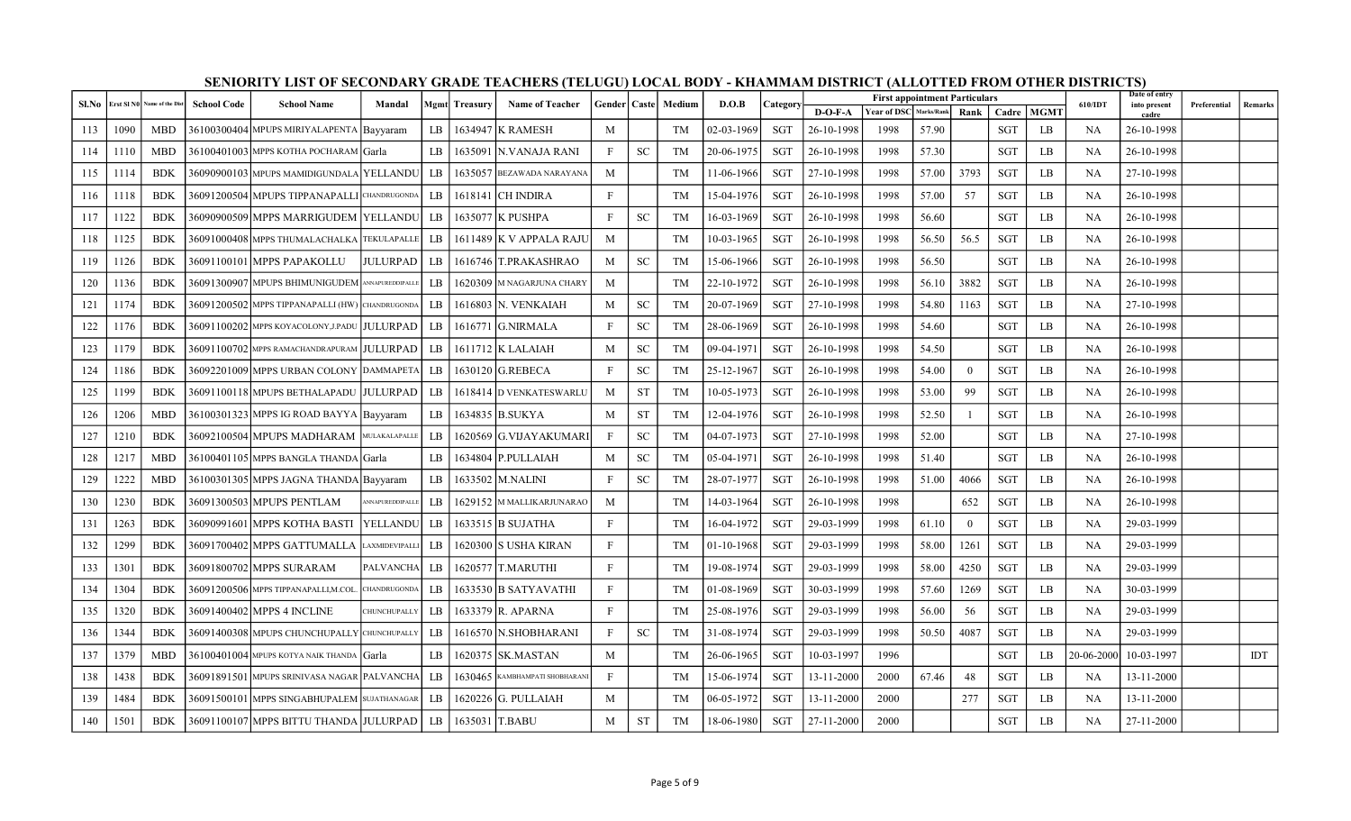| Sl.No |      | Erst SI NO Name of the Dist | <b>School Code</b> | <b>School Name</b>                                | Mandal           |     | Mgmt Treasury | <b>Name of Teacher</b>           |              |           | Gender   Caste   Medium | D.O.B      | Category   |            | <b>First appointment Particulars</b> |            |                |            |             | 610/IDT    | Date of entry<br>into present | Preferential | Remarks |
|-------|------|-----------------------------|--------------------|---------------------------------------------------|------------------|-----|---------------|----------------------------------|--------------|-----------|-------------------------|------------|------------|------------|--------------------------------------|------------|----------------|------------|-------------|------------|-------------------------------|--------------|---------|
|       |      |                             |                    |                                                   |                  |     |               |                                  |              |           |                         |            |            | D-O-F-A    | <b>Year of DSC</b>                   | Marks/Rank | Rank l         | Cadre      | <b>MGMT</b> |            | cadre                         |              |         |
| 113   | 1090 | <b>MBD</b>                  |                    | 36100300404 MPUPS MIRIYALAPENTA Bayyaram          |                  | LB  | 1634947       | K RAMESH                         | M            |           | <b>TM</b>               | 02-03-1969 | SGT        | 26-10-1998 | 1998                                 | 57.90      |                | <b>SGT</b> | LB          | NA         | 26-10-1998                    |              |         |
| 114   | 1110 | <b>MBD</b>                  |                    | 36100401003  MPPS KOTHA POCHARAM   Garla          |                  | LB  | 1635091       | IN.VANAJA RANI                   | $\mathbf{F}$ | <b>SC</b> | <b>TM</b>               | 20-06-1975 | <b>SGT</b> | 26-10-1998 | 1998                                 | 57.30      |                | <b>SGT</b> | LB          | <b>NA</b>  | 26-10-1998                    |              |         |
| 115   | 1114 | <b>BDK</b>                  |                    | 36090900103 MPUPS MAMIDIGUNDALA YELLANDU          |                  | LB  |               | 1635057 BEZAWADA NARAYANA        | M            |           | TM                      | 11-06-1966 | <b>SGT</b> | 27-10-1998 | 1998                                 | 57.00      | 3793           | <b>SGT</b> | LB          | <b>NA</b>  | 27-10-1998                    |              |         |
| 116   | 1118 | <b>BDK</b>                  |                    | 36091200504 MPUPS TIPPANAPALLI CHANDRUGONDA       |                  | LB  |               | 1618141 CH INDIRA                | $\mathbf{F}$ |           | TM                      | 15-04-1976 | SGT        | 26-10-1998 | 1998                                 | 57.00      | 57             | <b>SGT</b> | LB          | NA         | 26-10-1998                    |              |         |
| 117   | 1122 | <b>BDK</b>                  |                    | 36090900509 MPPS MARRIGUDEM YELLANDU              |                  | LB  |               | 1635077 K PUSHPA                 | F            | <b>SC</b> | TM                      | 16-03-1969 | SGT        | 26-10-1998 | 1998                                 | 56.60      |                | <b>SGT</b> | LB          | <b>NA</b>  | 26-10-1998                    |              |         |
| 118   | 1125 | <b>BDK</b>                  |                    | 36091000408 MPPS THUMALACHALKA TEKULAPALLE        |                  | LB  |               | 1611489 K V APPALA RAJU          | M            |           | TM                      | 10-03-1965 | <b>SGT</b> | 26-10-1998 | 1998                                 | 56.50      | 56.5           | <b>SGT</b> | LB          | <b>NA</b>  | 26-10-1998                    |              |         |
| 119   | 1126 | <b>BDK</b>                  |                    | 36091100101 MPPS PAPAKOLLU                        | <b>JULURPAD</b>  | LB  |               | 1616746 T.PRAKASHRAO             | M            | <b>SC</b> | TM                      | 15-06-1966 | <b>SGT</b> | 26-10-1998 | 1998                                 | 56.50      |                | <b>SGT</b> | LB          | <b>NA</b>  | 26-10-1998                    |              |         |
| 120   | 1136 | BDK                         |                    | 36091300907 MPUPS BHIMUNIGUDEM ANNAPUREDDIPALLE   |                  | LB  |               | 1620309 M NAGARJUNA CHARY        | M            |           | TM                      | 22-10-1972 | <b>SGT</b> | 26-10-1998 | 1998                                 | 56.10      | 3882           | SGT        | LB          | <b>NA</b>  | 26-10-1998                    |              |         |
| 121   | 1174 | <b>BDK</b>                  |                    | 36091200502 MPPS TIPPANAPALLI (HW) CHANDRUGONDA   |                  | LB  |               | 1616803 N. VENKAIAH              | M            | <b>SC</b> | TM                      | 20-07-1969 | SGT        | 27-10-1998 | 1998                                 | 54.80      | 1163           | <b>SGT</b> | LB          | <b>NA</b>  | 27-10-1998                    |              |         |
| 122   | 1176 | <b>BDK</b>                  |                    | 36091100202 MPPS KOYACOLONY,J.PADU JULURPAD       |                  | LB  |               | 1616771 G.NIRMALA                | $\mathbf{F}$ | <b>SC</b> | TM                      | 28-06-1969 | SGT        | 26-10-1998 | 1998                                 | 54.60      |                | <b>SGT</b> | LB          | <b>NA</b>  | 26-10-1998                    |              |         |
| 123   | 1179 | <b>BDK</b>                  |                    | 36091100702 MPPS RAMACHANDRAPURAM JULURPAD        |                  | LB  |               | 1611712 K LALAIAH                | M            | <b>SC</b> | <b>TM</b>               | 09-04-1971 | <b>SGT</b> | 26-10-1998 | 1998                                 | 54.50      |                | <b>SGT</b> | LB          | NA         | 26-10-1998                    |              |         |
| 124   | 1186 | <b>BDK</b>                  |                    | 36092201009 MPPS URBAN COLONY DAMMAPETA           |                  | LB  |               | 1630120 G.REBECA                 | $\mathbf{F}$ | <b>SC</b> | TM                      | 25-12-1967 | <b>SGT</b> | 26-10-1998 | 1998                                 | 54.00      | $\theta$       | <b>SGT</b> | LB          | <b>NA</b>  | 26-10-1998                    |              |         |
| 125   | 1199 | <b>BDK</b>                  |                    | 36091100118 MPUPS BETHALAPADU  JULURPAD           |                  | LB. |               | 1618414 D VENKATESWARLU          | M            | <b>ST</b> | TM                      | 10-05-1973 | SGT        | 26-10-1998 | 1998                                 | 53.00      | 99             | SGT        | LB          | NA         | 26-10-1998                    |              |         |
| 126   | 1206 | <b>MBD</b>                  |                    | 36100301323 MPPS IG ROAD BAYYA   Bayyaram         |                  | LB  |               | 1634835 B.SUKYA                  | M            | <b>ST</b> | TM                      | 12-04-1976 | <b>SGT</b> | 26-10-1998 | 1998                                 | 52.50      |                | <b>SGT</b> | LB          | NA         | 26-10-1998                    |              |         |
| 127   | 1210 | <b>BDK</b>                  |                    | 36092100504 MPUPS MADHARAM MULAKALAPALLE          |                  | LB  |               | 1620569 G.VIJAYAKUMARI           | $\mathbf{F}$ | <b>SC</b> | <b>TM</b>               | 04-07-1973 | <b>SGT</b> | 27-10-1998 | 1998                                 | 52.00      |                | <b>SGT</b> | LB          | <b>NA</b>  | 27-10-1998                    |              |         |
| 128   | 1217 | <b>MBD</b>                  |                    | 36100401105 MPPS BANGLA THANDA Garla              |                  | LB  |               | 1634804 P.PULLAIAH               | M            | <b>SC</b> | TM                      | 05-04-1971 | SGT        | 26-10-1998 | 1998                                 | 51.40      |                | <b>SGT</b> | LB          | NA         | 26-10-1998                    |              |         |
| 129   | 1222 | <b>MBD</b>                  |                    | 36100301305 MPPS JAGNA THANDA Bayyaram            |                  | LB  |               | 1633502 M.NALINI                 | $\mathbf{F}$ | <b>SC</b> | <b>TM</b>               | 28-07-1977 | <b>SGT</b> | 26-10-1998 | 1998                                 | 51.00      | 4066           | <b>SGT</b> | LB          | <b>NA</b>  | 26-10-1998                    |              |         |
| 130   | 1230 | <b>BDK</b>                  |                    | 36091300503 MPUPS PENTLAM                         | ANNAPUREDDIPALLE | LB  |               | 1629152 M MALLIKARJUNARAO        | M            |           | <b>TM</b>               | 14-03-1964 | <b>SGT</b> | 26-10-1998 | 1998                                 |            | 652            | <b>SGT</b> | LB          | <b>NA</b>  | 26-10-1998                    |              |         |
| 131   | 1263 | <b>BDK</b>                  |                    | 36090991601 MPPS KOTHA BASTI                      | <b>YELLANDU</b>  | LB  |               | 1633515 B SUJATHA                | F            |           | TM                      | 16-04-1972 | SGT        | 29-03-1999 | 1998                                 | 61.10      | $\overline{0}$ | <b>SGT</b> | LB          | NA         | 29-03-1999                    |              |         |
| 132   | 1299 | <b>BDK</b>                  |                    | 36091700402 MPPS GATTUMALLA LAXMIDEVIPALLI        |                  | LB  |               | 1620300 S USHA KIRAN             | $\mathbf{F}$ |           | TM                      | 01-10-1968 | <b>SGT</b> | 29-03-1999 | 1998                                 | 58.00      | 1261           | <b>SGT</b> | LB          | <b>NA</b>  | 29-03-1999                    |              |         |
| 133   | 1301 | <b>BDK</b>                  |                    | 36091800702 MPPS SURARAM                          | PALVANCHA        | LB  |               | 1620577 T.MARUTHI                | $\mathbf{F}$ |           | TM                      | 19-08-1974 | <b>SGT</b> | 29-03-1999 | 1998                                 | 58.00      | 4250           | <b>SGT</b> | LB          | <b>NA</b>  | 29-03-1999                    |              |         |
| 134   | 1304 | <b>BDK</b>                  |                    | 36091200506 MPPS TIPPANAPALLI,M.COL. CHANDRUGONDA |                  | LB  |               | 1633530 B SATYAVATHI             | $\mathbf{F}$ |           | TM                      | 01-08-1969 | SGT        | 30-03-1999 | 1998                                 | 57.60      | 1269           | <b>SGT</b> | LB          | NA         | 30-03-1999                    |              |         |
| 135   | 1320 | <b>BDK</b>                  |                    | 36091400402 MPPS 4 INCLINE                        | CHUNCHUPALLY     | LB  |               | 1633379 R. APARNA                | $\mathbf{F}$ |           | TM                      | 25-08-1976 | <b>SGT</b> | 29-03-1999 | 1998                                 | 56.00      | 56             | <b>SGT</b> | LB          | <b>NA</b>  | 29-03-1999                    |              |         |
| 136   | 1344 | <b>BDK</b>                  |                    | 36091400308 MPUPS CHUNCHUPALLY CHUNCHUPALLY       |                  | LB  |               | 1616570 N.SHOBHARANI             | F            | <b>SC</b> | TM                      | 31-08-1974 | <b>SGT</b> | 29-03-1999 | 1998                                 | 50.50      | 4087           | <b>SGT</b> | LB          | <b>NA</b>  | 29-03-1999                    |              |         |
| 137   | 1379 | <b>MBD</b>                  |                    | 36100401004 MPUPS KOTYA NAIK THANDA Garla         |                  | LB  |               | 1620375 SK.MASTAN                | M            |           | TM                      | 26-06-1965 | SGT        | 10-03-1997 | 1996                                 |            |                | <b>SGT</b> | LB          | 20-06-2000 | 10-03-1997                    |              | IDT     |
| 138   | 1438 | <b>BDK</b>                  |                    | 36091891501 MPUPS SRINIVASA NAGAR PALVANCHA       |                  | LB  |               | $1630465$ KAMBHAMPATI SHOBHARANI | F            |           | TM                      | 15-06-1974 | <b>SGT</b> | 13-11-2000 | 2000                                 | 67.46      | 48             | <b>SGT</b> | LB          | NA         | 13-11-2000                    |              |         |
| 139   | 1484 | <b>BDK</b>                  |                    | 36091500101 MPPS SINGABHUPALEM SUJATHANAGAR       |                  | LB  |               | 1620226 G. PULLAIAH              | M            |           | TM                      | 06-05-1972 | SGT        | 13-11-2000 | 2000                                 |            | 277            | <b>SGT</b> | LB          | NA         | 13-11-2000                    |              |         |
| 140   | 1501 | <b>BDK</b>                  |                    | 36091100107 MPPS BITTU THANDA JULURPAD            |                  | LB  |               | 1635031 T.BABU                   | M            | <b>ST</b> | TM                      | 18-06-1980 | SGT        | 27-11-2000 | 2000                                 |            |                | <b>SGT</b> | LB          | NA         | 27-11-2000                    |              |         |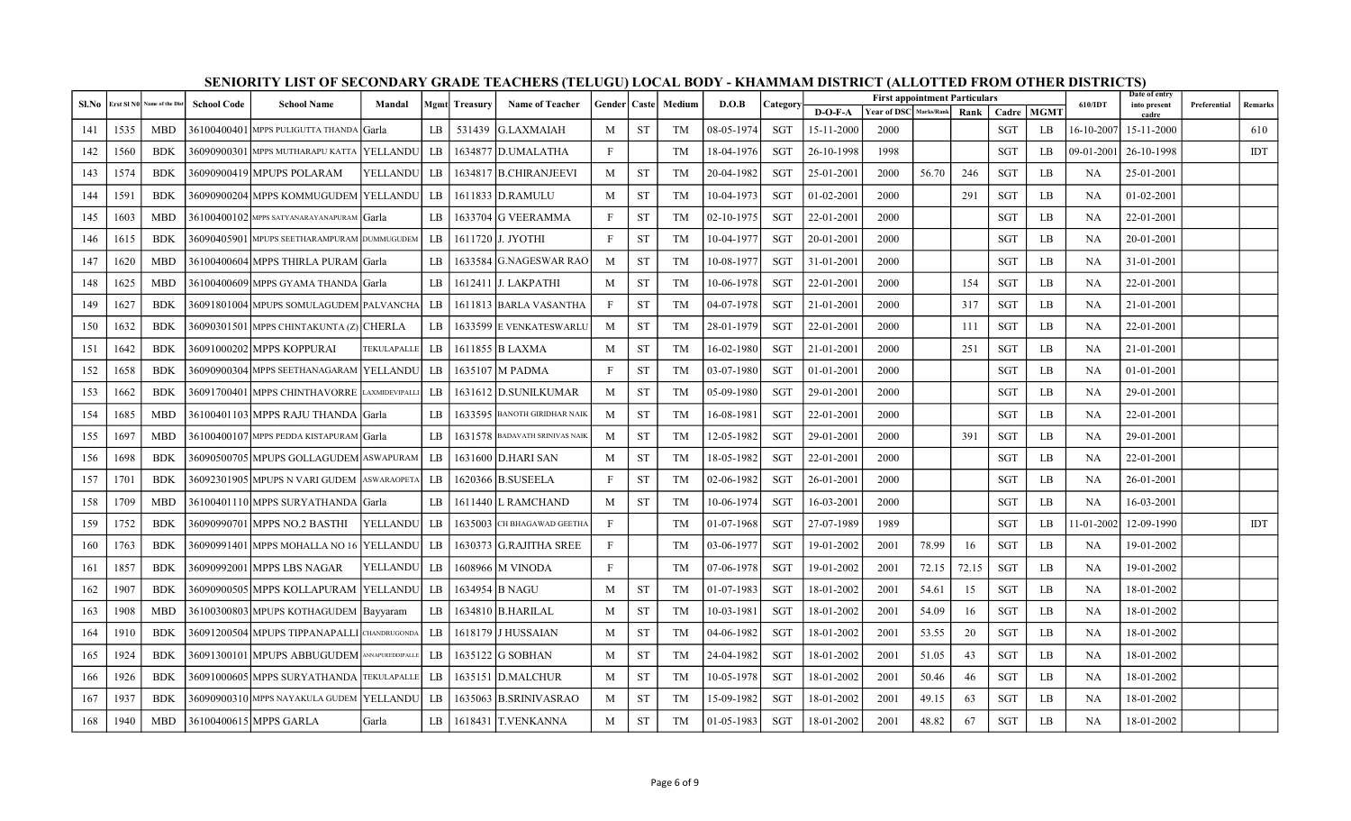| Sl.No |      | Erst SI NO Name of the Dist | <b>School Code</b> | <b>School Name</b>                           | Mandal      |      | <b>Mgmt</b> Treasury | <b>Name of Teacher</b>         | Gender   Caste |           | Medium    | D.O.B      | Category   |                  | <b>First appointment Particulars</b> |       |             |            |             | 610/IDT    | Date of entry<br>into present | Preferential | Remarks    |
|-------|------|-----------------------------|--------------------|----------------------------------------------|-------------|------|----------------------|--------------------------------|----------------|-----------|-----------|------------|------------|------------------|--------------------------------------|-------|-------------|------------|-------------|------------|-------------------------------|--------------|------------|
|       |      |                             |                    |                                              |             |      |                      |                                |                |           |           |            |            | $D-O-F-A$        | Year of DSC Marks/Rank               |       | <b>Rank</b> | Cadre      | <b>MGMT</b> |            | cadre                         |              |            |
| 141   | 1535 | <b>MBD</b>                  |                    | 36100400401 MPPS PULIGUTTA THANDA Garla      |             | LB   | 531439               | G.LAXMAIAH                     | M              | ST        | TM        | 08-05-1974 | SGT        | 15-11-2000       | 2000                                 |       |             | <b>SGT</b> | LB          | 16-10-2007 | 15-11-2000                    |              | 610        |
| 142   | 1560 | <b>BDK</b>                  |                    | 36090900301 MPPS MUTHARAPU KATTA   YELLANDU  |             | LB   |                      | 1634877 D.UMALATHA             | $\mathbf{F}$   |           | <b>TM</b> | 18-04-1976 | <b>SGT</b> | 26-10-1998       | 1998                                 |       |             | <b>SGT</b> | LB          | 09-01-2001 | 26-10-1998                    |              | <b>IDT</b> |
| 143   | 1574 | <b>BDK</b>                  |                    | 36090900419 MPUPS POLARAM                    | YELLANDU    | LB   |                      | 1634817 B.CHIRANJEEVI          | M              | <b>ST</b> | TM        | 20-04-1982 | <b>SGT</b> | 25-01-200        | 2000                                 | 56.70 | 246         | <b>SGT</b> | LB          | <b>NA</b>  | 25-01-2001                    |              |            |
| 144   | 1591 | <b>BDK</b>                  |                    | 36090900204 MPPS KOMMUGUDEM YELLANDU         |             | LB - |                      | 1611833 D.RAMULU               | M              | <b>ST</b> | TM        | 10-04-1973 | <b>SGT</b> | $01-02-200$      | 2000                                 |       | 291         | <b>SGT</b> | LB          | <b>NA</b>  | $01 - 02 - 2001$              |              |            |
| 145   | 1603 | <b>MBD</b>                  |                    | 36100400102 MPPS SATYANARAYANAPURAM Garla    |             | LB   |                      | 1633704 G VEERAMMA             | $\mathbf{F}$   | <b>ST</b> | TM        | 02-10-1975 | <b>SGT</b> | 22-01-2001       | 2000                                 |       |             | <b>SGT</b> | LB          | <b>NA</b>  | 22-01-2001                    |              |            |
| 146   | 1615 | <b>BDK</b>                  |                    | 36090405901 MPUPS SEETHARAMPURAM DUMMUGUDEM  |             | LB   |                      | 1611720 J. JYOTHI              | $\mathbf{F}$   | <b>ST</b> | TM        | 10-04-1977 | SGT        | 20-01-2001       | 2000                                 |       |             | <b>SGT</b> | LB          | <b>NA</b>  | 20-01-2001                    |              |            |
| 147   | 1620 | <b>MBD</b>                  |                    | 36100400604 MPPS THIRLA PURAM Garla          |             | LB   |                      | 1633584 G.NAGESWAR RAO         | M              | <b>ST</b> | TM        | 10-08-1977 | <b>SGT</b> | 31-01-2001       | 2000                                 |       |             | <b>SGT</b> | LB          | <b>NA</b>  | 31-01-2001                    |              |            |
| 148   | 1625 | <b>MBD</b>                  |                    | 36100400609 MPPS GYAMA THANDA Garla          |             | LB   |                      | 1612411 J. LAKPATHI            | M              | <b>ST</b> | TM        | 10-06-1978 | SGT        | 22-01-2001       | 2000                                 |       | 154         | <b>SGT</b> | LB          | NA         | 22-01-2001                    |              |            |
| 149   | 1627 | <b>BDK</b>                  |                    | 36091801004 MPUPS SOMULAGUDEM PALVANCHA      |             | LB   |                      | 1611813 BARLA VASANTHA         | $\mathbf{F}$   | <b>ST</b> | <b>TM</b> | 04-07-1978 | <b>SGT</b> | 21-01-2001       | 2000                                 |       | 317         | <b>SGT</b> | LB          | <b>NA</b>  | 21-01-2001                    |              |            |
| 150   | 1632 | <b>BDK</b>                  |                    | 36090301501  MPPS CHINTAKUNTA (Z)   CHERLA   |             | LB   |                      | 1633599 E VENKATESWARLU        | M              | <b>ST</b> | TM        | 28-01-1979 | SGT        | 22-01-2001       | 2000                                 |       | 111         | <b>SGT</b> | LB          | <b>NA</b>  | 22-01-2001                    |              |            |
| 151   | 1642 | <b>BDK</b>                  |                    | 36091000202 MPPS KOPPURAI                    | TEKULAPALLE | LB   |                      | 1611855 B LAXMA                | M              | <b>ST</b> | TM        | 16-02-1980 | <b>SGT</b> | 21-01-2001       | 2000                                 |       | 251         | <b>SGT</b> | LB          | <b>NA</b>  | 21-01-2001                    |              |            |
| 152   | 1658 | <b>BDK</b>                  |                    | 36090900304 MPPS SEETHANAGARAM YELLANDU      |             | LB   |                      | 1635107 M PADMA                | $\mathbf{F}$   | <b>ST</b> | TM        | 03-07-1980 | SGT        | $01 - 01 - 2001$ | 2000                                 |       |             | <b>SGT</b> | LB          | NA         | $01-01-2001$                  |              |            |
| 153   | 1662 | <b>BDK</b>                  |                    | 36091700401 MPPS CHINTHAVORRE LAXMIDEVIPALLI |             | LB   |                      | 1631612 D.SUNILKUMAR           | M              | <b>ST</b> | <b>TM</b> | 05-09-1980 | SGT        | 29-01-2001       | 2000                                 |       |             | <b>SGT</b> | LB          | NA         | 29-01-2001                    |              |            |
| 154   | 1685 | <b>MBD</b>                  |                    | 36100401103 MPPS RAJU THANDA Garla           |             | LB   |                      | 1633595 BANOTH GIRIDHAR NAIK   | M              | <b>ST</b> | TM        | 16-08-1981 | <b>SGT</b> | 22-01-2001       | 2000                                 |       |             | <b>SGT</b> | LB          | <b>NA</b>  | 22-01-2001                    |              |            |
| 155   | 1697 | <b>MBD</b>                  |                    | 36100400107 MPPS PEDDA KISTAPURAM Garla      |             | LB   |                      | 1631578 BADAVATH SRINIVAS NAIK | M              | <b>ST</b> | TM        | 12-05-1982 | SGT        | 29-01-2001       | 2000                                 |       | 391         | <b>SGT</b> | LB          | NA         | 29-01-2001                    |              |            |
| 156   | 1698 | <b>BDK</b>                  |                    | 36090500705 MPUPS GOLLAGUDEM ASWAPURAM       |             | LB   |                      | 1631600 D.HARI SAN             | M              | <b>ST</b> | TM        | 18-05-1982 | SGT        | 22-01-2001       | 2000                                 |       |             | <b>SGT</b> | LB          | <b>NA</b>  | 22-01-2001                    |              |            |
| 157   | 1701 | <b>BDK</b>                  |                    | 36092301905 MPUPS N VARI GUDEM ASWARAOPETA   |             | LB   |                      | 1620366 B.SUSEELA              | $\mathbf{F}$   | <b>ST</b> | TM        | 02-06-1982 | SGT        | 26-01-2001       | 2000                                 |       |             | <b>SGT</b> | LB          | NA         | 26-01-2001                    |              |            |
| 158   | 1709 | <b>MBD</b>                  |                    | 36100401110 MPPS SURYATHANDA  Garla          |             | LB   |                      | 1611440 L RAMCHAND             | M              | <b>ST</b> | <b>TM</b> | 10-06-1974 | <b>SGT</b> | 16-03-2001       | 2000                                 |       |             | <b>SGT</b> | LB          | <b>NA</b>  | 16-03-2001                    |              |            |
| 159   | 1752 | <b>BDK</b>                  |                    | 36090990701 MPPS NO.2 BASTHI                 | YELLANDU    | LB   |                      | 1635003 CH BHAGAWAD GEETHA     | $\mathbf{F}$   |           | TM        | 01-07-1968 | SGT        | 27-07-1989       | 1989                                 |       |             | <b>SGT</b> | LB          | 11-01-2002 | 12-09-1990                    |              | IDT        |
| 160   | 1763 | <b>BDK</b>                  |                    | 36090991401  MPPS MOHALLA NO 16  YELLANDU    |             | LB   |                      | 1630373 G.RAJITHA SREE         | $\mathbf{F}$   |           | <b>TM</b> | 03-06-1977 | <b>SGT</b> | 19-01-2002       | 2001                                 | 78.99 | 16          | <b>SGT</b> | LB          | <b>NA</b>  | 19-01-2002                    |              |            |
| 161   | 1857 | <b>BDK</b>                  |                    | 36090992001 MPPS LBS NAGAR                   | YELLANDU    | LB   |                      | 1608966 M VINODA               | $\mathbf{F}$   |           | TM        | 07-06-1978 | SGT        | 19-01-2002       | 2001                                 | 72.15 | 72.15       | <b>SGT</b> | LB          | NA         | 19-01-2002                    |              |            |
| 162   | 1907 | <b>BDK</b>                  |                    | 360909005051MPPS KOLLAPURAM lYELLANDU        |             | LB   |                      | 1634954 B NAGU                 | M              | <b>ST</b> | TM        | 01-07-1983 | SGT        | 18-01-2002       | 2001                                 | 54.61 | 15          | <b>SGT</b> | LB          | <b>NA</b>  | 18-01-2002                    |              |            |
| 163   | 1908 | <b>MBD</b>                  |                    | 36100300803 MPUPS KOTHAGUDEM   Bayyaram      |             | LB   |                      | 1634810 B.HARILAL              | M              | <b>ST</b> | TM        | 10-03-1981 | SGT        | 18-01-2002       | 2001                                 | 54.09 | 16          | <b>SGT</b> | LB          | <b>NA</b>  | 18-01-2002                    |              |            |
| 164   | 1910 | <b>BDK</b>                  |                    | 36091200504 MPUPS TIPPANAPALLI CHANDRUGONDA  |             | LB   |                      | 1618179 J HUSSAIAN             | M              | <b>ST</b> | TM        | 04-06-1982 | SGT        | 18-01-2002       | 2001                                 | 53.55 | 20          | <b>SGT</b> | LB          | NA         | 18-01-2002                    |              |            |
| 165   | 1924 | <b>BDK</b>                  |                    | 36091300101 MPUPS ABBUGUDEM ANNAPUREDDIPALLE |             | LB   |                      | 1635122 G SOBHAN               | M              | <b>ST</b> | TM        | 24-04-1982 | <b>SGT</b> | 18-01-2002       | 2001                                 | 51.05 | 43          | <b>SGT</b> | LB          | <b>NA</b>  | 18-01-2002                    |              |            |
| 166   | 1926 | <b>BDK</b>                  |                    | 36091000605 MPPS SURYATHANDA TEKULAPALLE     |             | LB   |                      | 1635151 D.MALCHUR              | M              | ST        | TM        | 10-05-1978 | SGT        | 18-01-2002       | 2001                                 | 50.46 | 46          | <b>SGT</b> | LB          | <b>NA</b>  | 18-01-2002                    |              |            |
| 167   | 1937 | <b>BDK</b>                  |                    | 36090900310 MPPS NAYAKULA GUDEM YELLANDU     |             | LB   |                      | 1635063 B.SRINIVASRAO          | M              | <b>ST</b> | TM        | 15-09-1982 | <b>SGT</b> | 18-01-2002       | 2001                                 | 49.15 | 63          | <b>SGT</b> | LB          | NA         | 18-01-2002                    |              |            |
| 168   | 1940 | <b>MBD</b>                  |                    | 36100400615 MPPS GARLA                       | Garla       | LB   |                      | 1618431 T.VENKANNA             | M              | <b>ST</b> | TM        | 01-05-1983 | SGT        | 18-01-2002       | 2001                                 | 48.82 | 67          | <b>SGT</b> | LB          | NA         | 18-01-2002                    |              |            |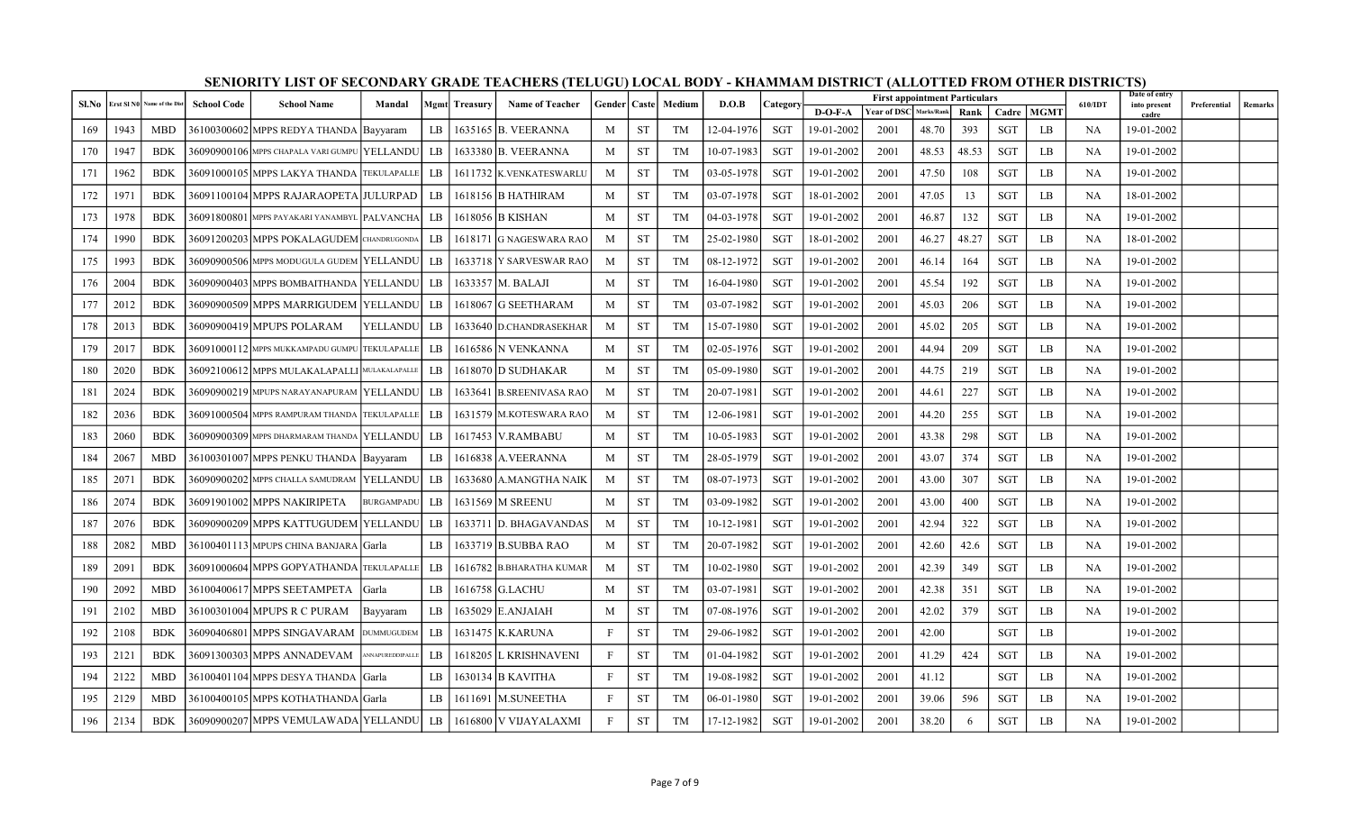| Sl.No |      | Erst SI N0 Name of the Dist | <b>School Code</b> | <b>School Name</b>                              | Mandal            |      | Mgmt Treasury | <b>Name of Teacher</b>   | Gender   Caste |           | Medium    | D.O.B      | <b>Category</b> |            | <b>First appointment Particulars</b> |            |       |            |             | 610/IDT   | Date of entry<br>into present | Preferential | Remarks |
|-------|------|-----------------------------|--------------------|-------------------------------------------------|-------------------|------|---------------|--------------------------|----------------|-----------|-----------|------------|-----------------|------------|--------------------------------------|------------|-------|------------|-------------|-----------|-------------------------------|--------------|---------|
|       |      |                             |                    |                                                 |                   |      |               |                          |                |           |           |            |                 | D-O-F-A    | <b>Year of DSC</b>                   | Marks/Rank | Rank  | Cadre      | <b>MGMT</b> |           | cadre                         |              |         |
| 169   | 1943 | <b>MBD</b>                  |                    | 36100300602 MPPS REDYA THANDA Bayyaram          |                   | LB   |               | 1635165 B. VEERANNA      | M              | ST        | TM        | 12-04-1976 | SGT             | 19-01-2002 | 2001                                 | 48.70      | 393   | <b>SGT</b> | LB          | NA        | 19-01-2002                    |              |         |
| 170   | 1947 | <b>BDK</b>                  |                    | 36090900106 MPPS CHAPALA VARI GUMPU   YELLANDU  |                   | LB   |               | 1633380 B. VEERANNA      | M              | <b>ST</b> | <b>TM</b> | 10-07-1983 | <b>SGT</b>      | 19-01-2002 | 2001                                 | 48.53      | 48.53 | <b>SGT</b> | LB          | <b>NA</b> | 19-01-2002                    |              |         |
| 171   | 1962 | <b>BDK</b>                  |                    | 36091000105 MPPS LAKYA THANDA TEKULAPALLE       |                   | LB   |               | 1611732 K.VENKATESWARLU  | M              | ST        | TM        | 03-05-1978 | <b>SGT</b>      | 19-01-2002 | 2001                                 | 47.50      | 108   | <b>SGT</b> | LB          | <b>NA</b> | 19-01-2002                    |              |         |
| 172   | 1971 | <b>BDK</b>                  |                    | 36091100104 MPPS RAJARAOPETA JULURPAD           |                   | LB   |               | 1618156 B HATHIRAM       | M              | ST        | TM        | 03-07-1978 | SGT             | 18-01-2002 | 2001                                 | 47.05      | 13    | SGT        | LB          | NA        | 18-01-2002                    |              |         |
| 173   | 1978 | <b>BDK</b>                  |                    | 36091800801 MPPS PAYAKARI YANAMBYL PALVANCHA LB |                   |      |               | 1618056 B KISHAN         | M              | <b>ST</b> | TM        | 04-03-1978 | SGT             | 19-01-2002 | 2001                                 | 46.87      | 132   | <b>SGT</b> | LB          | NA        | 19-01-2002                    |              |         |
| 174   | 1990 | <b>BDK</b>                  |                    | 36091200203 MPPS POKALAGUDEM CHANDRUGONDA       |                   | LB   |               | 1618171 G NAGESWARA RAO  | M              | <b>ST</b> | TM        | 25-02-1980 | <b>SGT</b>      | 18-01-2002 | 2001                                 | 46.27      | 48.27 | <b>SGT</b> | LB          | <b>NA</b> | 18-01-2002                    |              |         |
| 175   | 1993 | <b>BDK</b>                  |                    | 36090900506 MPPS MODUGULA GUDEM YELLANDU        |                   | LB   |               | 1633718 IY SARVESWAR RAO | M              | <b>ST</b> | TM        | 08-12-1972 | SGT             | 19-01-2002 | 2001                                 | 46.14      | 164   | <b>SGT</b> | LB          | NA        | 19-01-2002                    |              |         |
| 176   | 2004 | <b>BDK</b>                  |                    | 36090900403 MPPS BOMBAITHANDA   YELLANDU   LB   |                   |      |               | 1633357 M. BALAJI        | M              | <b>ST</b> | TM        | 16-04-1980 | <b>SGT</b>      | 19-01-2002 | 2001                                 | 45.54      | 192   | <b>SGT</b> | LB          | NA        | 19-01-2002                    |              |         |
| 177   | 2012 | <b>BDK</b>                  |                    | 36090900509 MPPS MARRIGUDEM   YELLANDU   LB     |                   |      |               | 1618067 G SEETHARAM      | M              | <b>ST</b> | TM        | 03-07-1982 | <b>SGT</b>      | 19-01-2002 | 2001                                 | 45.03      | 206   | <b>SGT</b> | LB          | NA        | 19-01-2002                    |              |         |
| 178   | 2013 | <b>BDK</b>                  |                    | 36090900419 MPUPS POLARAM                       | <b>YELLANDU</b>   | LB   |               | 1633640 D.CHANDRASEKHAR  | M              | <b>ST</b> | TM        | 15-07-1980 | <b>SGT</b>      | 19-01-2002 | 2001                                 | 45.02      | 205   | <b>SGT</b> | LB          | <b>NA</b> | 19-01-2002                    |              |         |
| 179   | 2017 | <b>BDK</b>                  |                    | 36091000112 MPPS MUKKAMPADU GUMPU TEKULAPALLE   |                   | LB   |               | 1616586 N VENKANNA       | M              | <b>ST</b> | TM        | 02-05-1976 | <b>SGT</b>      | 19-01-2002 | 2001                                 | 44.94      | 209   | <b>SGT</b> | LB          | <b>NA</b> | 19-01-2002                    |              |         |
| 180   | 2020 | BDK                         |                    | 36092100612 MPPS MULAKALAPALLI MULAKALAPALLE    |                   | LB   |               | 1618070 D SUDHAKAR       | M              | ST        | TM        | 05-09-1980 | SGT             | 19-01-2002 | 2001                                 | 44.75      | 219   | SGT        | LB          | NA        | 19-01-2002                    |              |         |
| 181   | 2024 | <b>BDK</b>                  |                    | 36090900219   MPUPS NARAYANAPURAM   YELLANDU    |                   | LB 1 |               | 1633641 B.SREENIVASA RAO | M              | <b>ST</b> | TM        | 20-07-1981 | <b>SGT</b>      | 19-01-2002 | 2001                                 | 44.61      | 227   | <b>SGT</b> | LB          | <b>NA</b> | 19-01-2002                    |              |         |
| 182   | 2036 | <b>BDK</b>                  |                    | 36091000504 MPPS RAMPURAM THANDA TEKULAPALLE    |                   | LB   |               | 1631579 M.KOTESWARA RAO  | M              | <b>ST</b> | TM        | 12-06-1981 | <b>SGT</b>      | 19-01-2002 | 2001                                 | 44.20      | 255   | <b>SGT</b> | LB          | <b>NA</b> | 19-01-2002                    |              |         |
| 183   | 2060 | <b>BDK</b>                  |                    | 36090900309 MPPS DHARMARAM THANDA   YELLANDU    |                   | LB   |               | 1617453   V.RAMBABU      | M              | ST        | TM        | 10-05-1983 | SGT             | 19-01-2002 | 2001                                 | 43.38      | 298   | <b>SGT</b> | LB          | NA        | 19-01-2002                    |              |         |
| 184   | 2067 | <b>MBD</b>                  |                    | 36100301007 MPPS PENKU THANDA Bayyaram          |                   | LB   |               | 1616838 A.VEERANNA       | M              | <b>ST</b> | TM        | 28-05-1979 | <b>SGT</b>      | 19-01-2002 | 2001                                 | 43.07      | 374   | <b>SGT</b> | LB          | <b>NA</b> | 19-01-2002                    |              |         |
| 185   | 2071 | BDK                         |                    | 36090900202 MPPS CHALLA SAMUDRAM  YELLANDU      |                   | LB   |               | 1633680 A.MANGTHA NAIK   | M              | <b>ST</b> | TM        | 08-07-1973 | SGT             | 19-01-2002 | 2001                                 | 43.00      | 307   | <b>SGT</b> | LB          | NA        | 19-01-2002                    |              |         |
| 186   | 2074 | <b>BDK</b>                  |                    | 36091901002 MPPS NAKIRIPETA                     | <b>BURGAMPADU</b> | LB   |               | 1631569 M SREENU         | M              | <b>ST</b> | TM        | 03-09-1982 | <b>SGT</b>      | 19-01-2002 | 2001                                 | 43.00      | 400   | <b>SGT</b> | LB          | <b>NA</b> | 19-01-2002                    |              |         |
| 187   | 2076 | <b>BDK</b>                  |                    | 36090900209 MPPS KATTUGUDEM YELLANDU            |                   | LB   |               | 1633711 D. BHAGAVANDAS   | M              | <b>ST</b> | TM        | 10-12-1981 | <b>SGT</b>      | 19-01-2002 | 2001                                 | 42.94      | 322   | <b>SGT</b> | LB          | <b>NA</b> | 19-01-2002                    |              |         |
| 188   | 2082 | <b>MBD</b>                  |                    | 36100401113  MPUPS CHINA BANJARA   Garla        |                   | LB   |               | 1633719 B.SUBBA RAO      | M              | <b>ST</b> | TM        | 20-07-1982 | <b>SGT</b>      | 19-01-2002 | 2001                                 | 42.60      | 42.6  | <b>SGT</b> | LB          | NA        | 19-01-2002                    |              |         |
| 189   | 2091 | <b>BDK</b>                  |                    | 36091000604 MPPS GOPYATHANDA TEKULAPALLE        |                   | LB   |               | 1616782 B.BHARATHA KUMAR | M              | <b>ST</b> | TM        | 10-02-1980 | <b>SGT</b>      | 19-01-2002 | 2001                                 | 42.39      | 349   | <b>SGT</b> | LB          | <b>NA</b> | 19-01-2002                    |              |         |
| 190   | 2092 | <b>MBD</b>                  |                    | 36100400617 MPPS SEETAMPETA Garla               |                   | LB   |               | 1616758 G.LACHU          | M              | <b>ST</b> | TM        | 03-07-1981 | SGT             | 19-01-2002 | 2001                                 | 42.38      | 351   | <b>SGT</b> | LB          | NA        | 19-01-2002                    |              |         |
| 191   | 2102 | <b>MBD</b>                  |                    | 36100301004 MPUPS R C PURAM                     | Bayyaram          | LB   |               | 1635029 E.ANJAIAH        | M              | <b>ST</b> | TM        | 07-08-1976 | SGT             | 19-01-2002 | 2001                                 | 42.02      | 379   | <b>SGT</b> | LB          | NA        | 19-01-2002                    |              |         |
| 192   | 2108 | <b>BDK</b>                  |                    | 36090406801 MPPS SINGAVARAM                     | <b>DUMMUGUDEM</b> | LB   |               | 1631475   K.KARUNA       | $\mathbf{F}$   | <b>ST</b> | TM        | 29-06-1982 | <b>SGT</b>      | 19-01-2002 | 2001                                 | 42.00      |       | <b>SGT</b> | LB          |           | 19-01-2002                    |              |         |
| 193   | 2121 | <b>BDK</b>                  |                    | 36091300303 MPPS ANNADEVAM                      | ANNAPUREDDIPALLE  | LB   |               | 1618205 L KRISHNAVENI    | $\mathbf{F}$   | <b>ST</b> | TM        | 01-04-1982 | SGT             | 19-01-2002 | 2001                                 | 41.29      | 424   | <b>SGT</b> | LB          | <b>NA</b> | 19-01-2002                    |              |         |
| 194   | 2122 | <b>MBD</b>                  |                    | 36100401104 MPPS DESYA THANDA Garla             |                   | LB   |               | 1630134 B KAVITHA        | $\mathbf{F}$   | <b>ST</b> | TM        | 19-08-1982 | <b>SGT</b>      | 19-01-2002 | 2001                                 | 41.12      |       | <b>SGT</b> | LB          | <b>NA</b> | 19-01-2002                    |              |         |
| 195   | 2129 | <b>MBD</b>                  |                    | 36100400105 MPPS KOTHATHANDA Garla              |                   | LB   |               | 1611691   M.SUNEETHA     | $\mathbf{F}$   | <b>ST</b> | TM        | 06-01-1980 | <b>SGT</b>      | 19-01-2002 | 2001                                 | 39.06      | 596   | <b>SGT</b> | LB          | NA        | 19-01-2002                    |              |         |
| 196   | 2134 | <b>BDK</b>                  |                    | 36090900207 MPPS VEMULAWADA YELLANDU LB         |                   |      |               | 1616800 V VIJAYALAXMI    | F              | <b>ST</b> | TM        | 17-12-1982 | SGT             | 19-01-2002 | 2001                                 | 38.20      | -6    | <b>SGT</b> | LB          | NA        | 19-01-2002                    |              |         |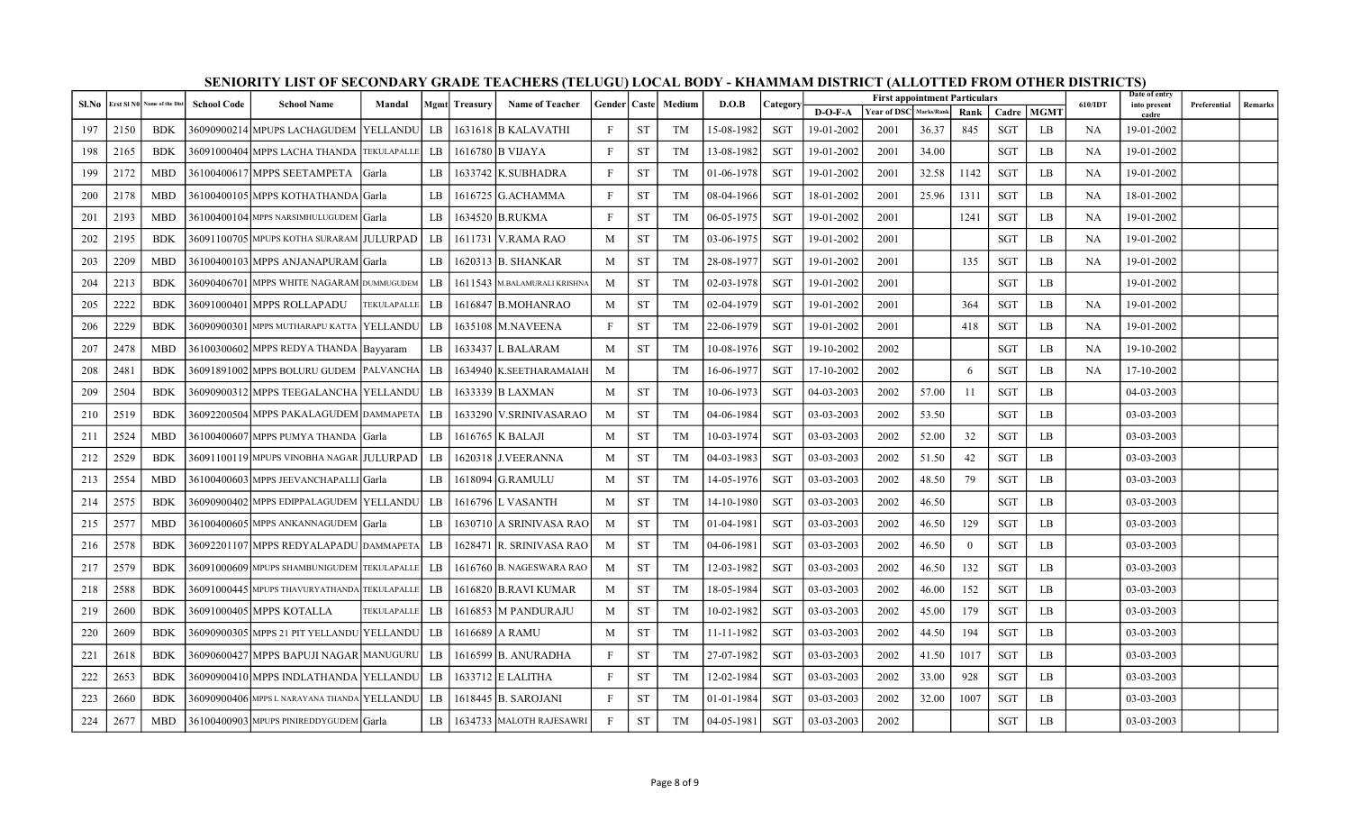| Sl.No | Erst SI N( | <b>Name of the Dist</b> | <b>School Code</b> | <b>School Name</b>                           | Mandal       |             | <b>Mgmt</b> Treasury | <b>Name of Teacher</b>       | <b>Gender</b>   Caste |           | Medium    | D.O.B      | Category   |            | <b>First appointment Particulars</b> |            |          |            |             | 610/IDT   | Date of entry<br>into present | Preferential | Remarks |
|-------|------------|-------------------------|--------------------|----------------------------------------------|--------------|-------------|----------------------|------------------------------|-----------------------|-----------|-----------|------------|------------|------------|--------------------------------------|------------|----------|------------|-------------|-----------|-------------------------------|--------------|---------|
|       |            |                         |                    |                                              |              |             |                      |                              |                       |           |           |            |            | $D-O-F-A$  | <b>Year of DSC</b>                   | Marks/Rank | Rank     | Cadre      | <b>MGMT</b> |           | cadre                         |              |         |
| 197   | 2150       | <b>BDK</b>              |                    | 36090900214 MPUPS LACHAGUDEM  YELLANDU       |              | LB          |                      | 1631618 B KALAVATHI          | F                     | <b>ST</b> | TM        | 15-08-1982 | <b>SGT</b> | 19-01-2002 | 2001                                 | 36.37      | 845      | <b>SGT</b> | LB          | NA        | 19-01-2002                    |              |         |
| 198   | 2165       | <b>BDK</b>              |                    | 360910004041MPPS LACHA THANDA TEKULAPALLE    |              | - LB        |                      | 1616780 B VIJAYA             | F                     | <b>ST</b> | <b>TM</b> | 13-08-1982 | SGT        | 19-01-2002 | 2001                                 | 34.00      |          | <b>SGT</b> | LB          | <b>NA</b> | 19-01-2002                    |              |         |
| 199   | 2172       | <b>MBD</b>              |                    | 36100400617 MPPS SEETAMPETA                  | <b>Sarla</b> | $_{LR}$     |                      | 1633742   K.SUBHADRA         | $\mathbf{F}$          | <b>ST</b> | <b>TM</b> | 01-06-1978 | SGT        | 19-01-2002 | 2001                                 | 32.58      | 1142     | <b>SGT</b> | LB          | <b>NA</b> | 19-01-2002                    |              |         |
| 200   | 2178       | <b>MBD</b>              |                    | 36100400105 MPPS KOTHATHANDA Garla           |              | LB          |                      | 1616725 G.ACHAMMA            | F                     | <b>ST</b> | <b>TM</b> | 08-04-1966 | SGT        | 18-01-2002 | 2001                                 | 25.96      | 1311     | <b>SGT</b> | LB          | NA        | 18-01-2002                    |              |         |
| 201   | 2193       | <b>MBD</b>              |                    | 36100400104 MPPS NARSIMHULUGUDEM Garla       |              | LB          |                      | 1634520 B.RUKMA              | $\mathbf{F}$          | ST        | TM        | 06-05-1975 | SGT        | 19-01-2002 | 2001                                 |            | 1241     | SGT        | LB          | <b>NA</b> | 19-01-2002                    |              |         |
| 202   | 2195       | <b>BDK</b>              |                    | 36091100705  MPUPS KOTHA SURARAM   JULURPAD  |              | LB          |                      | 1611731 V.RAMA RAO           | M                     | <b>ST</b> | <b>TM</b> | 03-06-1975 | <b>SGT</b> | 19-01-2002 | 2001                                 |            |          | <b>SGT</b> | LB          | <b>NA</b> | 19-01-2002                    |              |         |
| 203   | 2209       | <b>MBD</b>              |                    | 36100400103 MPPS ANJANAPURAM Garla           |              | LB          |                      | 1620313 B. SHANKAR           | M                     | <b>ST</b> | TM        | 28-08-1977 | SGT        | 19-01-2002 | 2001                                 |            | 135      | <b>SGT</b> | LB          | <b>NA</b> | 19-01-2002                    |              |         |
| 204   | 2213       | <b>BDK</b>              |                    | 36090406701  MPPS WHITE NAGARAM  DUMMUGUDEM  |              | $_{\rm LB}$ |                      | 1611543 M.BALAMURALI KRISHNA | M                     | <b>ST</b> | TM        | 02-03-1978 | SGT        | 19-01-2002 | 2001                                 |            |          | SGT        | LB          |           | 19-01-2002                    |              |         |
| 205   | 2222       | <b>BDK</b>              |                    | 36091000401 MPPS ROLLAPADU                   | TEKULAPALLE  | LB          |                      | 1616847 B.MOHANRAO           | M                     | <b>ST</b> | <b>TM</b> | 02-04-1979 | SGT        | 19-01-2002 | 2001                                 |            | 364      | <b>SGT</b> | LB          | NA        | 19-01-2002                    |              |         |
| 206   | 2229       | <b>BDK</b>              |                    | 36090900301 MPPS MUTHARAPU KATTA YELLANDU    |              | LB          |                      | 1635108 M.NAVEENA            | $\mathbf{F}$          | <b>ST</b> | <b>TM</b> | 22-06-1979 | SGT        | 19-01-2002 | 2001                                 |            | 418      | <b>SGT</b> | LB          | NA        | 19-01-2002                    |              |         |
| 207   | 2478       | <b>MBD</b>              |                    | 36100300602 MPPS REDYA THANDA Bayyaram       |              | LB          |                      | 1633437 IL BALARAM           | M                     | <b>ST</b> | <b>TM</b> | 10-08-1976 | <b>SGT</b> | 19-10-2002 | 2002                                 |            |          | <b>SGT</b> | LB          | <b>NA</b> | 19-10-2002                    |              |         |
| 208   | 2481       | <b>BDK</b>              |                    | 36091891002 MPPS BOLURU GUDEM PALVANCHA      |              | LB          |                      | 1634940 K.SEETHARAMAIAH      | M                     |           | <b>TM</b> | 16-06-1977 | SGT        | 17-10-2002 | 2002                                 |            | -6       | <b>SGT</b> | LB          | NA        | 17-10-2002                    |              |         |
| 209   | 2504       | <b>BDK</b>              |                    | 36090900312 MPPS TEEGALANCHA  YELLANDU       |              | LB          |                      | 1633339  B LAXMAN            | M                     | <b>ST</b> | <b>TM</b> | 10-06-1973 | SGT        | 04-03-2003 | 2002                                 | 57.00      | -11      | <b>SGT</b> | LB          |           | 04-03-2003                    |              |         |
| 210   | 2519       | <b>BDK</b>              |                    | 36092200504 MPPS PAKALAGUDEM DAMMAPETA       |              | LB          |                      | 1633290 V.SRINIVASARAO       | M                     | <b>ST</b> | <b>TM</b> | 04-06-1984 | SGT        | 03-03-2003 | 2002                                 | 53.50      |          | <b>SGT</b> | LB          |           | 03-03-2003                    |              |         |
| 211   | 2524       | <b>MBD</b>              |                    | 36100400607 MPPS PUMYA THANDA Garla          |              | LB          |                      | 1616765   K BALAJI           | M                     | <b>ST</b> | <b>TM</b> | 10-03-1974 | SGT        | 03-03-2003 | 2002                                 | 52.00      | 32       | <b>SGT</b> | LB          |           | 03-03-2003                    |              |         |
| 212   | 2529       | <b>BDK</b>              |                    | 36091100119 MPUPS VINOBHA NAGAR JULURPAD     |              | LB          |                      | 1620318 J.VEERANNA           | M                     | <b>ST</b> | TM        | 04-03-1983 | SGT        | 03-03-2003 | 2002                                 | 51.50      | 42       | <b>SGT</b> | LB          |           | 03-03-2003                    |              |         |
| 213   | 2554       | <b>MBD</b>              |                    | 36100400603 MPPS JEEVANCHAPALLI Garla        |              | <b>LB</b>   |                      | 1618094 G.RAMULU             | M                     | <b>ST</b> | <b>TM</b> | 14-05-1976 | <b>SGT</b> | 03-03-2003 | 2002                                 | 48.50      | 79       | <b>SGT</b> | LB          |           | 03-03-2003                    |              |         |
| 214   | 2575       | <b>BDK</b>              |                    | 36090900402 MPPS EDIPPALAGUDEM YELLANDU      |              | LB          |                      | 1616796 L VASANTH            | M                     | <b>ST</b> | TM        | 14-10-1980 | SGT        | 03-03-2003 | 2002                                 | 46.50      |          | <b>SGT</b> | LB          |           | 03-03-2003                    |              |         |
| 215   | 2577       | <b>MBD</b>              |                    | 36100400605 MPPS ANKANNAGUDEM Garla          |              | LB          |                      | 1630710 A SRINIVASA RAO      | M                     | <b>ST</b> | TM        | 01-04-1981 | SGT        | 03-03-2003 | 2002                                 | 46.50      | 129      | SGT        | LB          |           | 03-03-2003                    |              |         |
| 216   | 2578       | <b>BDK</b>              |                    | 36092201107 MPPS REDYALAPADU DAMMAPETA       |              | LB          |                      | 1628471   R. SRINIVASA RAO   | M                     | <b>ST</b> | <b>TM</b> | 04-06-1981 | <b>SGT</b> | 03-03-2003 | 2002                                 | 46.50      | $\Omega$ | <b>SGT</b> | LB          |           | 03-03-2003                    |              |         |
| 217   | 2579       | <b>BDK</b>              |                    | 36091000609 MPUPS SHAMBUNIGUDEM TEKULAPALLE  |              | LB          |                      | 1616760 B. NAGESWARA RAO     | M                     | <b>ST</b> | <b>TM</b> | 12-03-1982 | SGT        | 03-03-2003 | 2002                                 | 46.50      | 132      | <b>SGT</b> | LB          |           | 03-03-2003                    |              |         |
| 218   | 2588       | <b>BDK</b>              |                    | 36091000445 MPUPS THAVURYATHANDA TEKULAPALLE |              | LB          |                      | 1616820 B.RAVI KUMAR         | M                     | <b>ST</b> | <b>TM</b> | 18-05-1984 | <b>SGT</b> | 03-03-2003 | 2002                                 | 46.00      | 152      | <b>SGT</b> | LB          |           | 03-03-2003                    |              |         |
| 219   | 2600       | <b>BDK</b>              |                    | 36091000405 MPPS KOTALLA                     | TEKULAPALLE  | LB          |                      | 1616853 M PANDURAJU          | M                     | <b>ST</b> | <b>TM</b> | 10-02-1982 | <b>SGT</b> | 03-03-2003 | 2002                                 | 45.00      | 179      | <b>SGT</b> | LB          |           | 03-03-2003                    |              |         |
| 220   | 2609       | <b>BDK</b>              |                    | 36090900305 MPPS 21 PIT YELLANDU YELLANDU    |              | LB          |                      | 1616689 A RAMU               | M                     | <b>ST</b> | <b>TM</b> | 11-11-1982 | SGT        | 03-03-2003 | 2002                                 | 44.50      | 194      | <b>SGT</b> | LB          |           | 03-03-2003                    |              |         |
| 221   | 2618       | <b>BDK</b>              |                    | 36090600427 MPPS BAPUJI NAGAR MANUGURU       |              | LB          |                      | 1616599 B. ANURADHA          | $\mathbf{F}$          | <b>ST</b> | TM        | 27-07-1982 | SGT        | 03-03-2003 | 2002                                 | 41.50      | 1017     | <b>SGT</b> | LB          |           | 03-03-2003                    |              |         |
| 222   | 2653       | <b>BDK</b>              |                    | 36090900410 MPPS INDLATHANDA   YELLANDU      |              | LB          |                      | 1633712 E LALITHA            | $\mathbf{F}$          | <b>ST</b> | <b>TM</b> | 12-02-1984 | <b>SGT</b> | 03-03-2003 | 2002                                 | 33.00      | 928      | <b>SGT</b> | LB          |           | 03-03-2003                    |              |         |
| 223   | 2660       | <b>BDK</b>              |                    | 36090900406 MPPS L NARAYANA THANDA YELLANDU  |              | LB          |                      | 1618445 B. SAROJANI          | $\mathbf{F}$          | <b>ST</b> | TM        | 01-01-1984 | SGT        | 03-03-2003 | 2002                                 | 32.00      | 1007     | <b>SGT</b> | LB          |           | 03-03-2003                    |              |         |
| 224   | 2677       | <b>MBD</b>              |                    | 36100400903 MPUPS PINIREDDYGUDEM Garla       |              | LB          |                      | 1634733 MALOTH RAJESAWRI     | $\mathbf{F}$          | <b>ST</b> | TM        | 04-05-1981 | SGT        | 03-03-2003 | 2002                                 |            |          | SGT        | LB          |           | 03-03-2003                    |              |         |